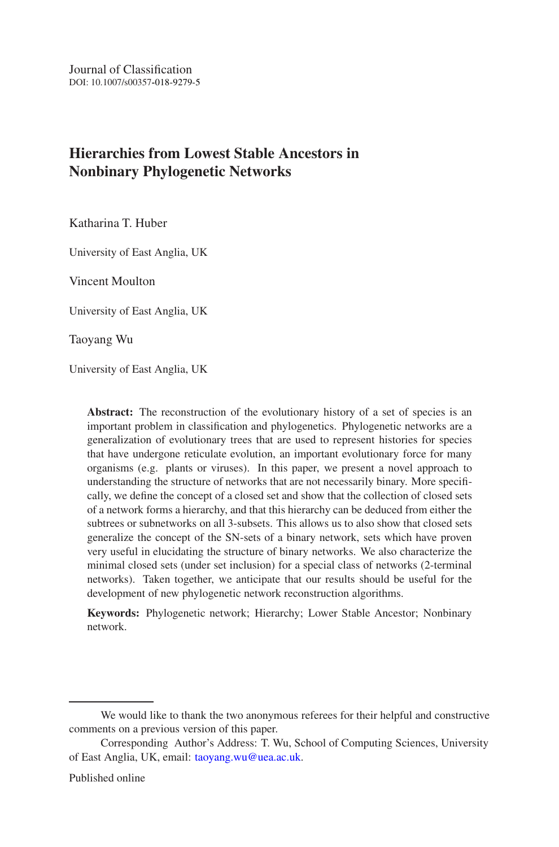Journal of Classification DOI: 10.1007/s00357- -018-9279-5

# **Hierarchies from Lowest Stable Ancestors in Nonbinary Phylogenetic Networks**

Katharina T. Huber

University of East Anglia, UK

Vincent Moulton

University of East Anglia, UK

Taoyang Wu

University of East Anglia, UK

**Abstract:** The reconstruction of the evolutionary history of a set of species is an important problem in classification and phylogenetics. Phylogenetic networks are a generalization of evolutionary trees that are used to represent histories for species that have undergone reticulate evolution, an important evolutionary force for many organisms (e.g. plants or viruses). In this paper, we present a novel approach to understanding the structure of networks that are not necessarily binary. More specifically, we define the concept of a closed set and show that the collection of closed sets of a network forms a hierarchy, and that this hierarchy can be deduced from either the subtrees or subnetworks on all 3-subsets. This allows us to also show that closed sets generalize the concept of the SN-sets of a binary network, sets which have proven very useful in elucidating the structure of binary networks. We also characterize the minimal closed sets (under set inclusion) for a special class of networks (2-terminal networks). Taken together, we anticipate that our results should be useful for the development of new phylogenetic network reconstruction algorithms.

**Keywords:** Phylogenetic network; Hierarchy; Lower Stable Ancestor; Nonbinary network.

We would like to thank the two anonymous referees for their helpful and constructive comments on a previous version of this paper.

Corresponding Author's Address: T. Wu, School of Computing Sciences, University of East Anglia, UK, email: taoyang.wu@uea.ac.uk.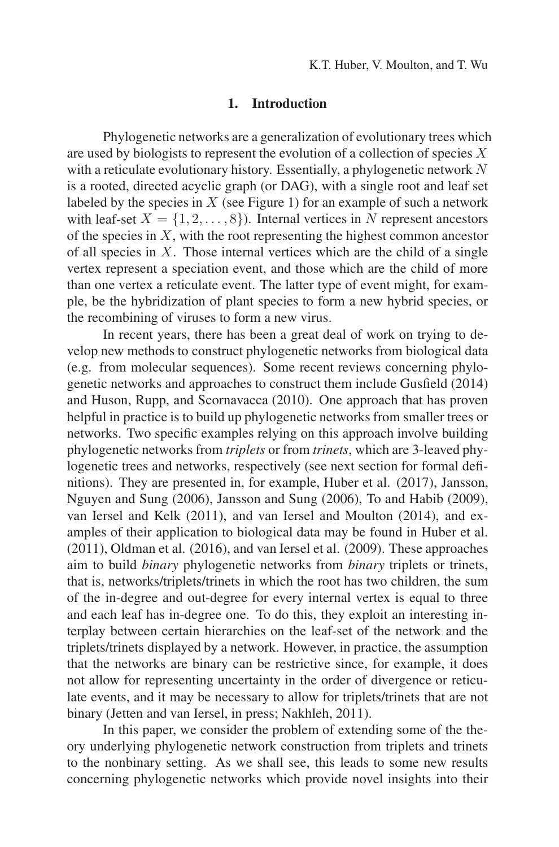### **1. Introduction**

Phylogenetic networks are a generalization of evolutionary trees which are used by biologists to represent the evolution of a collection of species  $X$ with a reticulate evolutionary history. Essentially, a phylogenetic network  $N$ is a rooted, directed acyclic graph (or DAG), with a single root and leaf set labeled by the species in  $X$  (see Figure 1) for an example of such a network with leaf-set  $X = \{1, 2, ..., 8\}$ . Internal vertices in N represent ancestors of the species in  $X$ , with the root representing the highest common ancestor of all species in  $X$ . Those internal vertices which are the child of a single vertex represent a speciation event, and those which are the child of more than one vertex a reticulate event. The latter type of event might, for example, be the hybridization of plant species to form a new hybrid species, or the recombining of viruses to form a new virus.

In recent years, there has been a great deal of work on trying to develop new methods to construct phylogenetic networks from biological data (e.g. from molecular sequences). Some recent reviews concerning phylogenetic networks and approaches to construct them include Gusfield (2014) and Huson, Rupp, and Scornavacca (2010). One approach that has proven helpful in practice is to build up phylogenetic networks from smaller trees or networks. Two specific examples relying on this approach involve building phylogenetic networks from *triplets* or from *trinets*, which are 3-leaved phylogenetic trees and networks, respectively (see next section for formal definitions). They are presented in, for example, Huber et al. (2017), Jansson, Nguyen and Sung (2006), Jansson and Sung (2006), To and Habib (2009), van Iersel and Kelk (2011), and van Iersel and Moulton (2014), and examples of their application to biological data may be found in Huber et al. (2011), Oldman et al. (2016), and van Iersel et al. (2009). These approaches aim to build *binary* phylogenetic networks from *binary* triplets or trinets, that is, networks/triplets/trinets in which the root has two children, the sum of the in-degree and out-degree for every internal vertex is equal to three and each leaf has in-degree one. To do this, they exploit an interesting interplay between certain hierarchies on the leaf-set of the network and the triplets/trinets displayed by a network. However, in practice, the assumption that the networks are binary can be restrictive since, for example, it does not allow for representing uncertainty in the order of divergence or reticulate events, and it may be necessary to allow for triplets/trinets that are not binary (Jetten and van Iersel, in press; Nakhleh, 2011).

In this paper, we consider the problem of extending some of the theory underlying phylogenetic network construction from triplets and trinets to the nonbinary setting. As we shall see, this leads to some new results concerning phylogenetic networks which provide novel insights into their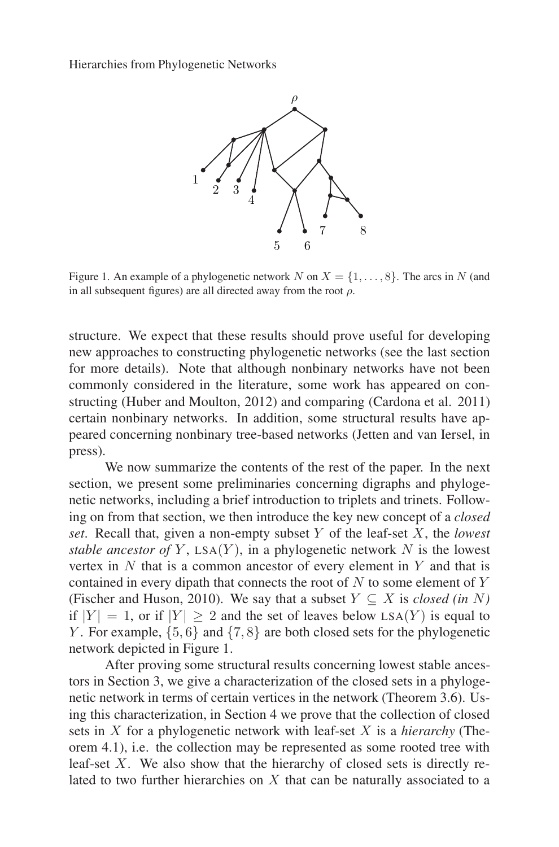

Figure 1. An example of a phylogenetic network N on  $X = \{1, \ldots, 8\}$ . The arcs in N (and in all subsequent figures) are all directed away from the root  $\rho$ .

structure. We expect that these results should prove useful for developing new approaches to constructing phylogenetic networks (see the last section for more details). Note that although nonbinary networks have not been commonly considered in the literature, some work has appeared on constructing (Huber and Moulton, 2012) and comparing (Cardona et al. 2011) certain nonbinary networks. In addition, some structural results have appeared concerning nonbinary tree-based networks (Jetten and van Iersel, in press).

We now summarize the contents of the rest of the paper. In the next section, we present some preliminaries concerning digraphs and phylogenetic networks, including a brief introduction to triplets and trinets. Following on from that section, we then introduce the key new concept of a *closed set*. Recall that, given a non-empty subset Y of the leaf-set X, the *lowest stable ancestor of*  $Y$ ,  $LSA(Y)$ , in a phylogenetic network  $N$  is the lowest vertex in  $N$  that is a common ancestor of every element in  $Y$  and that is contained in every dipath that connects the root of  $N$  to some element of  $Y$ (Fischer and Huson, 2010). We say that a subset  $Y \subseteq X$  is *closed (in* N) if  $|Y| = 1$ , or if  $|Y| > 2$  and the set of leaves below LSA(Y) is equal to Y. For example,  $\{5, 6\}$  and  $\{7, 8\}$  are both closed sets for the phylogenetic network depicted in Figure 1.

After proving some structural results concerning lowest stable ancestors in Section 3, we give a characterization of the closed sets in a phylogenetic network in terms of certain vertices in the network (Theorem 3.6). Using this characterization, in Section 4 we prove that the collection of closed sets in X for a phylogenetic network with leaf-set X is a *hierarchy* (Theorem 4.1), i.e. the collection may be represented as some rooted tree with leaf-set  $X$ . We also show that the hierarchy of closed sets is directly related to two further hierarchies on  $X$  that can be naturally associated to a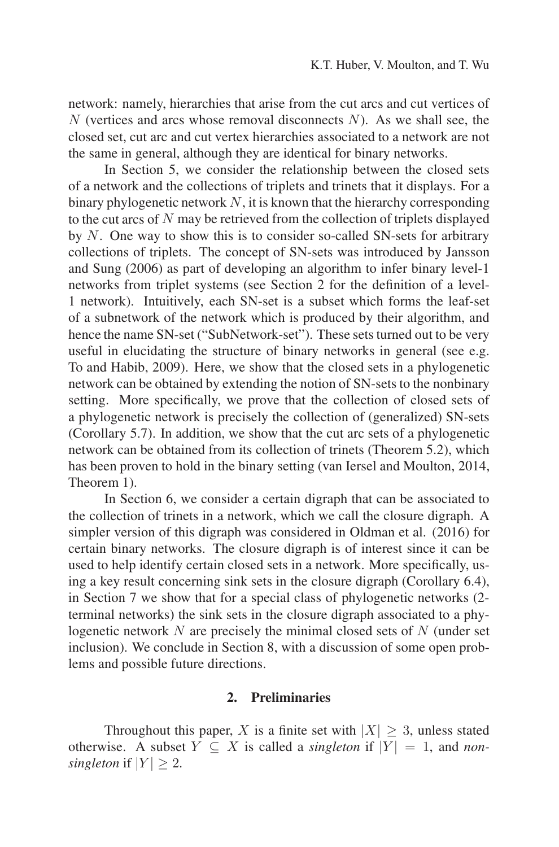network: namely, hierarchies that arise from the cut arcs and cut vertices of N (vertices and arcs whose removal disconnects  $N$ ). As we shall see, the closed set, cut arc and cut vertex hierarchies associated to a network are not the same in general, although they are identical for binary networks.

In Section 5, we consider the relationship between the closed sets of a network and the collections of triplets and trinets that it displays. For a binary phylogenetic network  $N$ , it is known that the hierarchy corresponding to the cut arcs of  $N$  may be retrieved from the collection of triplets displayed by N. One way to show this is to consider so-called SN-sets for arbitrary collections of triplets. The concept of SN-sets was introduced by Jansson and Sung (2006) as part of developing an algorithm to infer binary level-1 networks from triplet systems (see Section 2 for the definition of a level-1 network). Intuitively, each SN-set is a subset which forms the leaf-set of a subnetwork of the network which is produced by their algorithm, and hence the name SN-set ("SubNetwork-set"). These sets turned out to be very useful in elucidating the structure of binary networks in general (see e.g. To and Habib, 2009). Here, we show that the closed sets in a phylogenetic network can be obtained by extending the notion of SN-sets to the nonbinary setting. More specifically, we prove that the collection of closed sets of a phylogenetic network is precisely the collection of (generalized) SN-sets (Corollary 5.7). In addition, we show that the cut arc sets of a phylogenetic network can be obtained from its collection of trinets (Theorem 5.2), which has been proven to hold in the binary setting (van Iersel and Moulton, 2014, Theorem 1).

In Section 6, we consider a certain digraph that can be associated to the collection of trinets in a network, which we call the closure digraph. A simpler version of this digraph was considered in Oldman et al. (2016) for certain binary networks. The closure digraph is of interest since it can be used to help identify certain closed sets in a network. More specifically, using a key result concerning sink sets in the closure digraph (Corollary 6.4), in Section 7 we show that for a special class of phylogenetic networks (2 terminal networks) the sink sets in the closure digraph associated to a phylogenetic network  $N$  are precisely the minimal closed sets of  $N$  (under set inclusion). We conclude in Section 8, with a discussion of some open problems and possible future directions.

### **2. Preliminaries**

Throughout this paper, X is a finite set with  $|X| \geq 3$ , unless stated otherwise. A subset  $Y \subseteq X$  is called a *singleton* if  $|Y| = 1$ , and *nonsingleton* if  $|Y| \geq 2$ .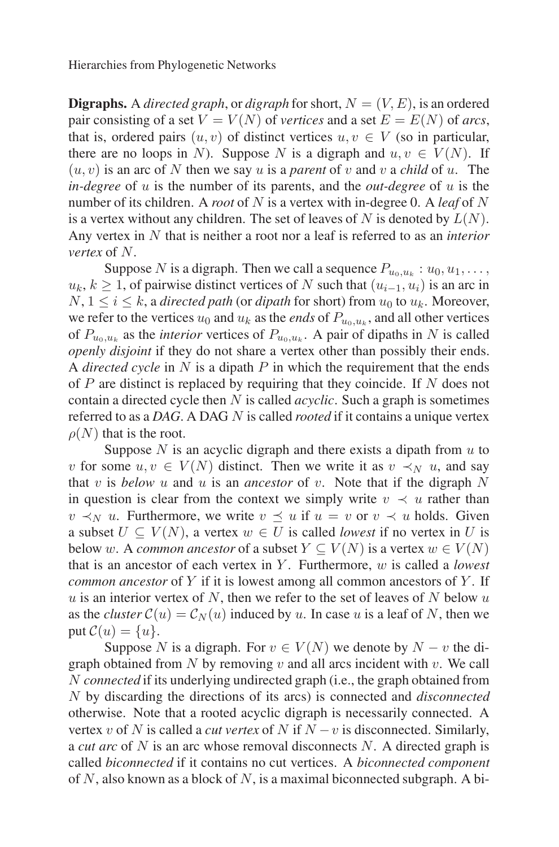**Digraphs.** A *directed graph*, or *digraph* for short,  $N = (V, E)$ , is an ordered pair consisting of a set  $V = V(N)$  of *vertices* and a set  $E = E(N)$  of *arcs*, that is, ordered pairs  $(u, v)$  of distinct vertices  $u, v \in V$  (so in particular, there are no loops in N). Suppose N is a digraph and  $u, v \in V(N)$ . If  $(u, v)$  is an arc of N then we say u is a *parent* of v and v a *child* of u. The *in-degree* of u is the number of its parents, and the *out-degree* of u is the number of its children. A *root* of N is a vertex with in-degree 0. A *leaf* of N is a vertex without any children. The set of leaves of N is denoted by  $L(N)$ . Any vertex in N that is neither a root nor a leaf is referred to as an *interior vertex* of N.

Suppose N is a digraph. Then we call a sequence  $P_{u_0,u_k}$ :  $u_0, u_1, \ldots$ ,  $u_k, k \geq 1$ , of pairwise distinct vertices of N such that  $(u_{i-1}, u_i)$  is an arc in  $N, 1 \le i \le k$ , a *directed path* (or *dipath* for short) from  $u_0$  to  $u_k$ . Moreover, we refer to the vertices  $u_0$  and  $u_k$  as the *ends* of  $P_{u_0, u_k}$ , and all other vertices of  $P_{u_0, u_k}$  as the *interior* vertices of  $P_{u_0, u_k}$ . A pair of dipaths in N is called *openly disjoint* if they do not share a vertex other than possibly their ends. A *directed cycle* in N is a dipath P in which the requirement that the ends of P are distinct is replaced by requiring that they coincide. If N does not contain a directed cycle then N is called *acyclic*. Such a graph is sometimes referred to as a *DAG*. A DAG N is called *rooted* if it contains a unique vertex  $\rho(N)$  that is the root.

Suppose  $N$  is an acyclic digraph and there exists a dipath from  $u$  to v for some  $u, v \in V(N)$  distinct. Then we write it as  $v \prec_N u$ , and say that v is *below* u and u is an *ancestor* of v. Note that if the digraph  $N$ in question is clear from the context we simply write  $v \prec u$  rather than  $v \prec_N u$ . Furthermore, we write  $v \prec u$  if  $u = v$  or  $v \prec u$  holds. Given a subset  $U \subseteq V(N)$ , a vertex  $w \in U$  is called *lowest* if no vertex in U is below w. A *common ancestor* of a subset  $Y \subseteq V(N)$  is a vertex  $w \in V(N)$ that is an ancestor of each vertex in Y . Furthermore, w is called a *lowest common ancestor* of Y if it is lowest among all common ancestors of Y. If  $u$  is an interior vertex of  $N$ , then we refer to the set of leaves of  $N$  below  $u$ as the *cluster*  $C(u) = C_N(u)$  induced by u. In case u is a leaf of N, then we put  $\mathcal{C}(u) = \{u\}.$ 

Suppose N is a digraph. For  $v \in V(N)$  we denote by  $N - v$  the digraph obtained from  $N$  by removing  $v$  and all arcs incident with  $v$ . We call N *connected* if its underlying undirected graph (i.e., the graph obtained from N by discarding the directions of its arcs) is connected and *disconnected* otherwise. Note that a rooted acyclic digraph is necessarily connected. A vertex v of N is called a *cut vertex* of N if  $N - v$  is disconnected. Similarly, a *cut arc* of N is an arc whose removal disconnects N. A directed graph is called *biconnected* if it contains no cut vertices. A *biconnected component* of N, also known as a block of N, is a maximal biconnected subgraph. A bi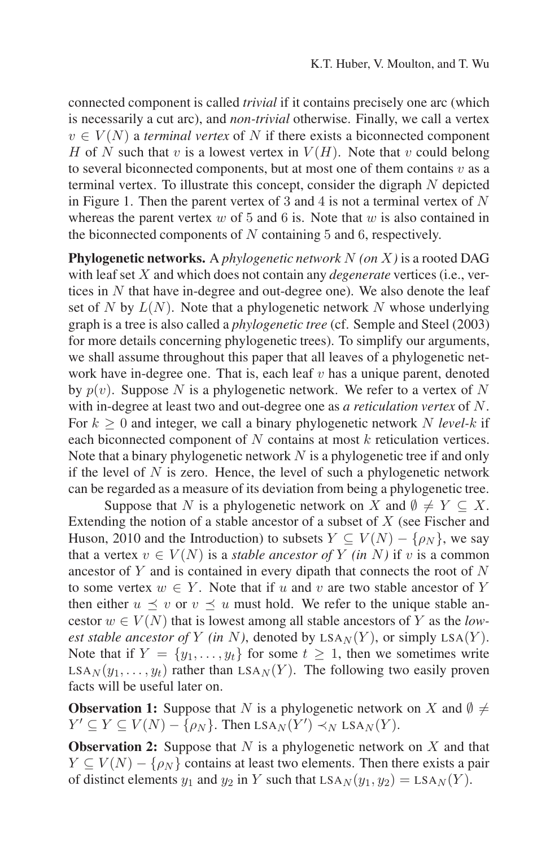connected component is called *trivial* if it contains precisely one arc (which is necessarily a cut arc), and *non-trivial* otherwise. Finally, we call a vertex  $v \in V(N)$  a *terminal vertex* of N if there exists a biconnected component H of N such that v is a lowest vertex in  $V(H)$ . Note that v could belong to several biconnected components, but at most one of them contains  $v$  as a terminal vertex. To illustrate this concept, consider the digraph N depicted in Figure 1. Then the parent vertex of 3 and 4 is not a terminal vertex of  $N$ whereas the parent vertex  $w$  of 5 and 6 is. Note that  $w$  is also contained in the biconnected components of  $N$  containing  $5$  and  $6$ , respectively.

**Phylogenetic networks.** A *phylogenetic network* N *(on* X*)* is a rooted DAG with leaf set X and which does not contain any *degenerate* vertices (i.e., vertices in N that have in-degree and out-degree one). We also denote the leaf set of N by  $L(N)$ . Note that a phylogenetic network N whose underlying graph is a tree is also called a *phylogenetic tree* (cf. Semple and Steel (2003) for more details concerning phylogenetic trees). To simplify our arguments, we shall assume throughout this paper that all leaves of a phylogenetic network have in-degree one. That is, each leaf  $v$  has a unique parent, denoted by  $p(v)$ . Suppose N is a phylogenetic network. We refer to a vertex of N with in-degree at least two and out-degree one as *a reticulation vertex* of N. For  $k \geq 0$  and integer, we call a binary phylogenetic network N *level-k* if each biconnected component of N contains at most k reticulation vertices. Note that a binary phylogenetic network  $N$  is a phylogenetic tree if and only if the level of  $N$  is zero. Hence, the level of such a phylogenetic network can be regarded as a measure of its deviation from being a phylogenetic tree.

Suppose that N is a phylogenetic network on X and  $\emptyset \neq Y \subseteq X$ . Extending the notion of a stable ancestor of a subset of  $X$  (see Fischer and Huson, 2010 and the Introduction) to subsets  $Y \subseteq V(N) - \{\rho_N\}$ , we say that a vertex  $v \in V(N)$  is a *stable ancestor of* Y *(in* N) if v is a common ancestor of  $Y$  and is contained in every dipath that connects the root of  $N$ to some vertex  $w \in Y$ . Note that if u and v are two stable ancestor of Y then either  $u \prec v$  or  $v \prec u$  must hold. We refer to the unique stable ancestor  $w \in V(N)$  that is lowest among all stable ancestors of Y as the *lowest stable ancestor of* Y *(in N)*, denoted by  $LSA<sub>N</sub>(Y)$ , or simply  $LSA(Y)$ . Note that if  $Y = \{y_1, \ldots, y_t\}$  for some  $t \geq 1$ , then we sometimes write  $LSA_N(y_1,...,y_t)$  rather than  $LSA_N(Y)$ . The following two easily proven facts will be useful later on.

**Observation 1:** Suppose that N is a phylogenetic network on X and  $\emptyset \neq$  $Y' \subseteq Y \subseteq V(N) - \{\rho_N\}$ . Then  $LSA_N(Y') \prec_N LSA_N(Y)$ .

**Observation 2:** Suppose that N is a phylogenetic network on X and that  $Y \subseteq V(N) - \{\rho_N\}$  contains at least two elements. Then there exists a pair of distinct elements  $y_1$  and  $y_2$  in Y such that  $LSA_N(y_1, y_2) = LSA_N(Y)$ .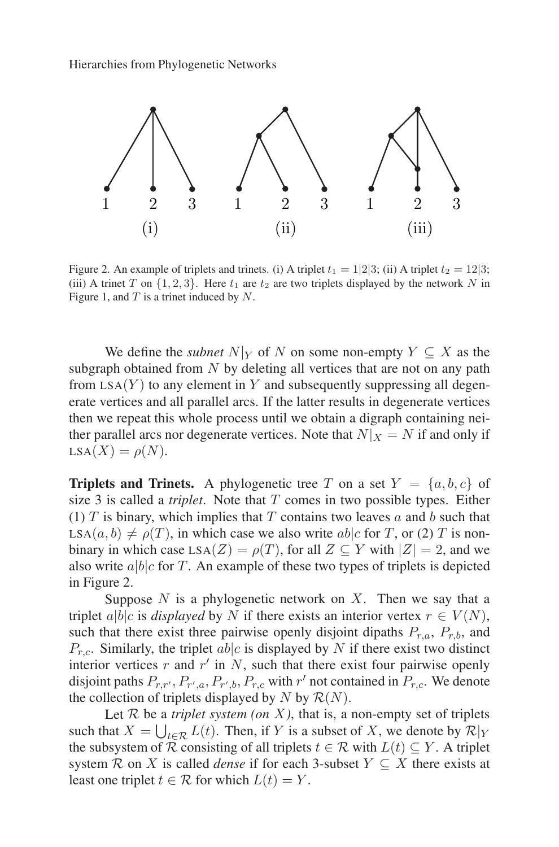

Figure 2. An example of triplets and trinets. (i) A triplet  $t_1 = 1/2/3$ ; (ii) A triplet  $t_2 = 12/3$ ; (iii) A trinet T on  $\{1, 2, 3\}$ . Here  $t_1$  are  $t_2$  are two triplets displayed by the network N in Figure 1, and  $T$  is a trinet induced by  $N$ .

We define the *subnet*  $N|_Y$  of N on some non-empty  $Y \subseteq X$  as the subgraph obtained from  $N$  by deleting all vertices that are not on any path from  $LSA(Y)$  to any element in Y and subsequently suppressing all degenerate vertices and all parallel arcs. If the latter results in degenerate vertices then we repeat this whole process until we obtain a digraph containing neither parallel arcs nor degenerate vertices. Note that  $N|_X = N$  if and only if  $LSA(X) = \rho(N).$ 

**Triplets and Trinets.** A phylogenetic tree T on a set  $Y = \{a, b, c\}$  of size 3 is called a *triplet*. Note that T comes in two possible types. Either (1)  $T$  is binary, which implies that  $T$  contains two leaves  $a$  and  $b$  such that  $LSA(a, b) \neq \rho(T)$ , in which case we also write able for T, or (2) T is nonbinary in which case LSA( $Z$ ) =  $\rho(T)$ , for all  $Z \subseteq Y$  with  $|Z| = 2$ , and we also write  $a|b|c$  for T. An example of these two types of triplets is depicted in Figure 2.

Suppose  $N$  is a phylogenetic network on  $X$ . Then we say that a triplet a|b|c is *displayed* by N if there exists an interior vertex  $r \in V(N)$ , such that there exist three pairwise openly disjoint dipaths  $P_{r,a}$ ,  $P_{r,b}$ , and  $P_{r,c}$ . Similarly, the triplet ab|c is displayed by N if there exist two distinct interior vertices r and  $r'$  in N, such that there exist four pairwise openly disjoint paths  $P_{r,r'}, P_{r',a}, P_{r',b}, P_{r,c}$  with  $r'$  not contained in  $P_{r,c}$ . We denote the collection of triplets displayed by N by  $\mathcal{R}(N)$ .

Let  $R$  be a *triplet system (on X)*, that is, a non-empty set of triplets such that  $X = \bigcup_{t \in \mathcal{R}} L(t)$ . Then, if Y is a subset of X, we denote by  $\mathcal{R}|_Y$ the subsystem of  $\overline{\mathcal{R}}$  consisting of all triplets  $t \in \mathcal{R}$  with  $L(t) \subseteq Y$ . A triplet system R on X is called *dense* if for each 3-subset  $Y \subseteq X$  there exists at least one triplet  $t \in \mathcal{R}$  for which  $L(t) = Y$ .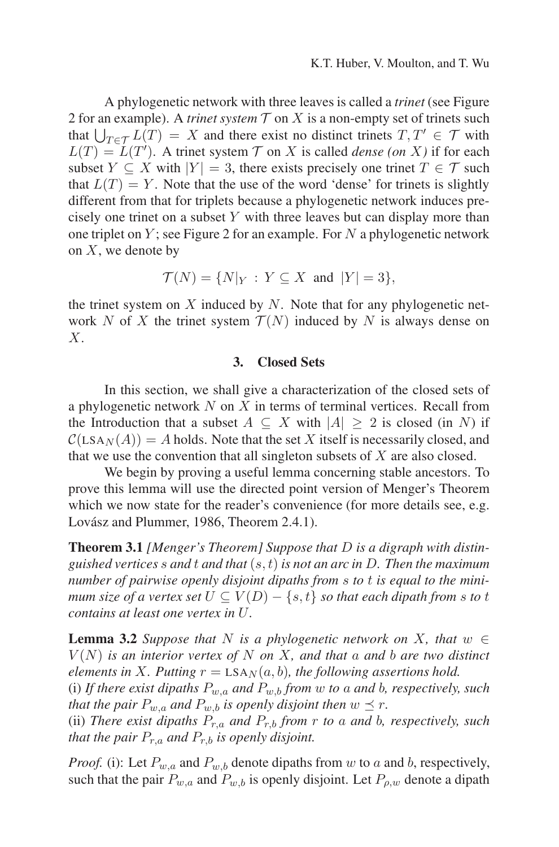A phylogenetic network with three leaves is called a *trinet* (see Figure 2 for an example). A *trinet system*  $\mathcal T$  on  $X$  is a non-empty set of trinets such that  $\bigcup_{T \in \mathcal{T}} L(T) = X$  and there exist no distinct trinets  $T, T' \in \mathcal{T}$  with  $L(T) = L(T')$ . A trinet system  $T$  on X is called *dense (on X)* if for each subset  $Y \subseteq X$  with  $|Y| = 3$ , there exists precisely one trinet  $T \in \mathcal{T}$  such that  $L(T) = Y$ . Note that the use of the word 'dense' for trinets is slightly different from that for triplets because a phylogenetic network induces precisely one trinet on a subset  $Y$  with three leaves but can display more than one triplet on  $Y$ ; see Figure 2 for an example. For  $N$  a phylogenetic network on  $X$ , we denote by

$$
\mathcal{T}(N) = \{N|_Y \,:\, Y \subseteq X \text{ and } |Y| = 3\},
$$

the trinet system on  $X$  induced by  $N$ . Note that for any phylogenetic network N of X the trinet system  $\mathcal{T}(N)$  induced by N is always dense on X.

# **3. Closed Sets**

In this section, we shall give a characterization of the closed sets of a phylogenetic network  $N$  on  $X$  in terms of terminal vertices. Recall from the Introduction that a subset  $A \subseteq X$  with  $|A| \geq 2$  is closed (in N) if  $\mathcal{C}(LSA_N(A)) = A$  holds. Note that the set X itself is necessarily closed, and that we use the convention that all singleton subsets of  $X$  are also closed.

We begin by proving a useful lemma concerning stable ancestors. To prove this lemma will use the directed point version of Menger's Theorem which we now state for the reader's convenience (for more details see, e.g. Lovász and Plummer, 1986, Theorem 2.4.1).

**Theorem 3.1** *[Menger's Theorem] Suppose that* D *is a digraph with distinguished vertices* s *and* t *and that* (s, t) *is not an arc in* D*. Then the maximum number of pairwise openly disjoint dipaths from* s *to* t *is equal to the minimum size of a vertex set*  $U \subseteq V(D) - \{s, t\}$  *so that each dipath from s to t contains at least one vertex in* U*.*

**Lemma 3.2** *Suppose that* N *is a phylogenetic network on* X, *that*  $w \in$  $V(N)$  *is an interior vertex of* N *on* X, and that a and b are two distinct *elements in* X. Putting  $r = \text{LSA}_{N}(a, b)$ , the following assertions hold.

(i) If there exist dipaths  $P_{w,a}$  and  $P_{w,b}$  from w to a and b, respectively, such *that the pair*  $P_{w,a}$  *and*  $P_{w,b}$  *is openly disjoint then*  $w \preceq r$ *.* 

(ii) *There exist dipaths*  $P_{r,a}$  *and*  $P_{r,b}$  *from*  $r$  *to*  $a$  *and*  $b$ *, respectively, such that the pair*  $P_{r,a}$  *and*  $P_{r,b}$  *is openly disjoint.* 

*Proof.* (i): Let  $P_{w,a}$  and  $P_{w,b}$  denote dipaths from w to a and b, respectively, such that the pair  $P_{w,a}$  and  $P_{w,b}$  is openly disjoint. Let  $P_{\rho,w}$  denote a dipath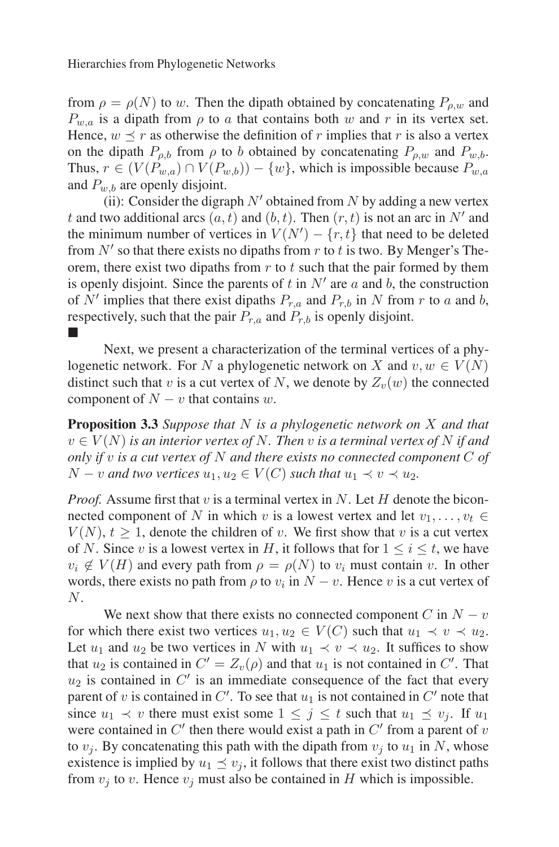from  $\rho = \rho(N)$  to w. Then the dipath obtained by concatenating  $P_{\rho,w}$  and  $P_{w,a}$  is a dipath from  $\rho$  to a that contains both w and r in its vertex set. Hence,  $w \prec r$  as otherwise the definition of r implies that r is also a vertex on the dipath  $P_{\rho,b}$  from  $\rho$  to b obtained by concatenating  $P_{\rho,w}$  and  $P_{w,b}$ . Thus,  $r \in (V(P_{w,a}) \cap V(P_{w,b})) - \{w\}$ , which is impossible because  $P_{w,a}$ and  $P_{w,b}$  are openly disjoint.

(ii): Consider the digraph  $N'$  obtained from N by adding a new vertex t and two additional arcs  $(a, t)$  and  $(b, t)$ . Then  $(r, t)$  is not an arc in N' and the minimum number of vertices in  $V(N') - \{r, t\}$  that need to be deleted from  $N'$  so that there exists no dipaths from r to t is two. By Menger's Theorem, there exist two dipaths from  $r$  to  $t$  such that the pair formed by them is openly disjoint. Since the parents of t in  $N'$  are a and b, the construction of N' implies that there exist dipaths  $P_{r,a}$  and  $P_{r,b}$  in N from r to a and b, respectively, such that the pair  $P_{r,a}$  and  $P_{r,b}$  is openly disjoint. -

Next, we present a characterization of the terminal vertices of a phylogenetic network. For N a phylogenetic network on X and  $v, w \in V(N)$ distinct such that v is a cut vertex of N, we denote by  $Z_v(w)$  the connected component of  $N - v$  that contains w.

**Proposition 3.3** *Suppose that* N *is a phylogenetic network on* X *and that*  $v \in V(N)$  *is an interior vertex of* N. Then v *is a terminal vertex of* N *if and only if* v *is a cut vertex of* N *and there exists no connected component* C *of*  $N - v$  *and two vertices*  $u_1, u_2 \in V(C)$  *such that*  $u_1 \prec v \prec u_2$ *.* 

*Proof.* Assume first that  $v$  is a terminal vertex in  $N$ . Let  $H$  denote the biconnected component of N in which v is a lowest vertex and let  $v_1, \ldots, v_t \in$  $V(N)$ ,  $t \geq 1$ , denote the children of v. We first show that v is a cut vertex of N. Since v is a lowest vertex in H, it follows that for  $1 \le i \le t$ , we have  $v_i \notin V(H)$  and every path from  $\rho = \rho(N)$  to  $v_i$  must contain v. In other words, there exists no path from  $\rho$  to  $v_i$  in  $N - v$ . Hence v is a cut vertex of N.

We next show that there exists no connected component C in  $N - v$ for which there exist two vertices  $u_1, u_2 \in V(C)$  such that  $u_1 \prec v \prec u_2$ . Let  $u_1$  and  $u_2$  be two vertices in N with  $u_1 \prec v \prec u_2$ . It suffices to show that  $u_2$  is contained in  $C' = Z_v(\rho)$  and that  $u_1$  is not contained in  $C'$ . That  $u_2$  is contained in  $C'$  is an immediate consequence of the fact that every parent of v is contained in  $C'$ . To see that  $u_1$  is not contained in  $C'$  note that since  $u_1 \prec v$  there must exist some  $1 \leq j \leq t$  such that  $u_1 \preceq v_j$ . If  $u_1$ were contained in  $C'$  then there would exist a path in  $C'$  from a parent of  $v$ to  $v_i$ . By concatenating this path with the dipath from  $v_i$  to  $u_1$  in N, whose existence is implied by  $u_1 \preceq v_i$ , it follows that there exist two distinct paths from  $v_i$  to v. Hence  $v_i$  must also be contained in H which is impossible.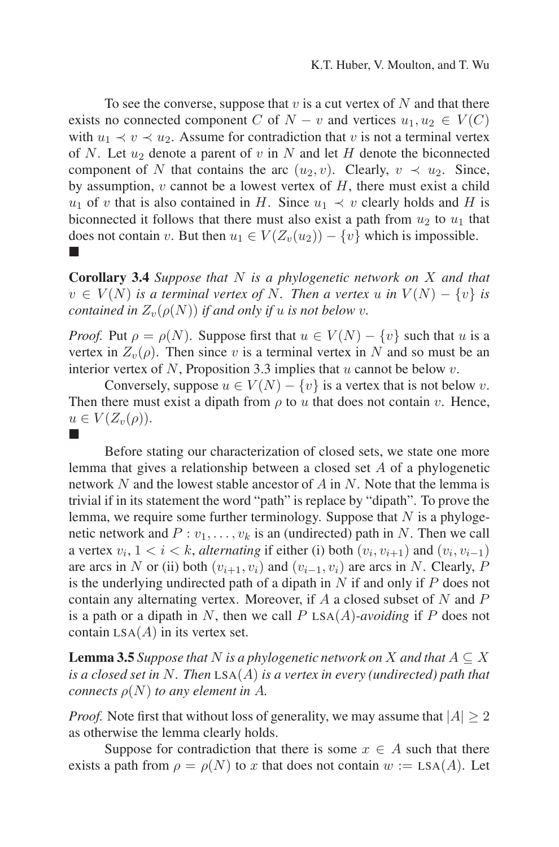To see the converse, suppose that  $v$  is a cut vertex of  $N$  and that there exists no connected component C of  $N - v$  and vertices  $u_1, u_2 \in V(C)$ with  $u_1 \prec v \prec u_2$ . Assume for contradiction that v is not a terminal vertex of N. Let  $u_2$  denote a parent of v in N and let H denote the biconnected component of N that contains the arc  $(u_2, v)$ . Clearly,  $v \prec u_2$ . Since, by assumption,  $v$  cannot be a lowest vertex of  $H$ , there must exist a child u<sub>1</sub> of v that is also contained in H. Since  $u_1 \prec v$  clearly holds and H is biconnected it follows that there must also exist a path from  $u_2$  to  $u_1$  that does not contain v. But then  $u_1 \in V(Z_v(u_2)) - \{v\}$  which is impossible. -

**Corollary 3.4** *Suppose that* N *is a phylogenetic network on* X *and that*  $v \in V(N)$  *is a terminal vertex of* N. Then a vertex u *in*  $V(N) - \{v\}$  *is contained in*  $Z_v(\rho(N))$  *if and only if u is not below v.* 

*Proof.* Put  $\rho = \rho(N)$ . Suppose first that  $u \in V(N) - \{v\}$  such that u is a vertex in  $Z_{\nu}(\rho)$ . Then since v is a terminal vertex in N and so must be an interior vertex of N, Proposition 3.3 implies that  $u$  cannot be below  $v$ .

Conversely, suppose  $u \in V(N) - \{v\}$  is a vertex that is not below v. Then there must exist a dipath from  $\rho$  to u that does not contain v. Hence,  $u \in V(Z_{\nu}(\rho)).$ -

Before stating our characterization of closed sets, we state one more lemma that gives a relationship between a closed set A of a phylogenetic network  $N$  and the lowest stable ancestor of  $A$  in  $N$ . Note that the lemma is trivial if in its statement the word "path" is replace by "dipath". To prove the lemma, we require some further terminology. Suppose that  $N$  is a phylogenetic network and  $P: v_1, \ldots, v_k$  is an (undirected) path in N. Then we call a vertex  $v_i$ ,  $1 < i < k$ , *alternating* if either (i) both  $(v_i, v_{i+1})$  and  $(v_i, v_{i-1})$ are arcs in N or (ii) both  $(v_{i+1}, v_i)$  and  $(v_{i-1}, v_i)$  are arcs in N. Clearly, P is the underlying undirected path of a dipath in  $N$  if and only if  $P$  does not contain any alternating vertex. Moreover, if  $A$  a closed subset of  $N$  and  $P$ is a path or a dipath in  $N$ , then we call  $P$  LSA $(A)$ *-avoiding* if  $P$  does not contain  $LSA(A)$  in its vertex set.

**Lemma 3.5** *Suppose that* N *is a phylogenetic network on* X *and that*  $A \subseteq X$ *is a closed set in* N*. Then* LSA(A) *is a vertex in every (undirected) path that connects*  $\rho(N)$  *to any element in A.* 

*Proof.* Note first that without loss of generality, we may assume that  $|A| > 2$ as otherwise the lemma clearly holds.

Suppose for contradiction that there is some  $x \in A$  such that there exists a path from  $\rho = \rho(N)$  to x that does not contain  $w := LSA(A)$ . Let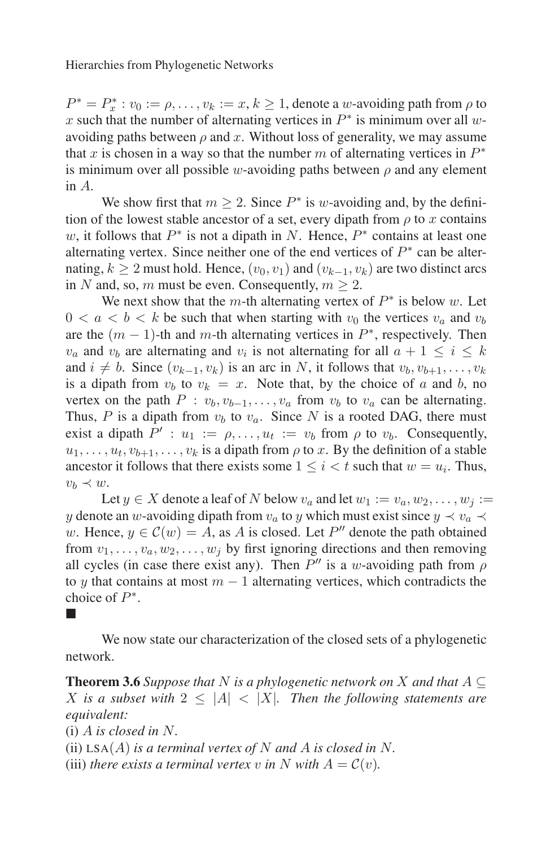$P^* = P_x^* : v_0 := \rho, \dots, v_k := x, k \ge 1$ , denote a w-avoiding path from  $\rho$  to x such that the number of alternating vertices in  $P^*$  is minimum over all wavoiding paths between  $\rho$  and x. Without loss of generality, we may assume that x is chosen in a way so that the number m of alternating vertices in  $P^*$ is minimum over all possible w-avoiding paths between  $\rho$  and any element in A.

We show first that  $m > 2$ . Since  $P^*$  is w-avoiding and, by the definition of the lowest stable ancestor of a set, every dipath from  $\rho$  to x contains w, it follows that  $P^*$  is not a dipath in N. Hence,  $P^*$  contains at least one alternating vertex. Since neither one of the end vertices of  $P^*$  can be alternating,  $k > 2$  must hold. Hence,  $(v_0, v_1)$  and  $(v_{k-1}, v_k)$  are two distinct arcs in N and, so, m must be even. Consequently,  $m > 2$ .

We next show that the m-th alternating vertex of  $P^*$  is below w. Let  $0 < a < b < k$  be such that when starting with  $v_0$  the vertices  $v_a$  and  $v_b$ are the  $(m - 1)$ -th and m-th alternating vertices in  $P^*$ , respectively. Then  $v_a$  and  $v_b$  are alternating and  $v_i$  is not alternating for all  $a + 1 \le i \le k$ and  $i \neq b$ . Since  $(v_{k-1}, v_k)$  is an arc in N, it follows that  $v_b, v_{b+1}, \ldots, v_k$ is a dipath from  $v_b$  to  $v_k = x$ . Note that, by the choice of a and b, no vertex on the path  $P : v_b, v_{b-1}, \ldots, v_a$  from  $v_b$  to  $v_a$  can be alternating. Thus, P is a dipath from  $v_b$  to  $v_a$ . Since N is a rooted DAG, there must exist a dipath  $P' : u_1 := \rho, \ldots, u_t := v_b$  from  $\rho$  to  $v_b$ . Consequently,  $u_1, \ldots, u_t, v_{b+1}, \ldots, v_k$  is a dipath from  $\rho$  to x. By the definition of a stable ancestor it follows that there exists some  $1 \leq i < t$  such that  $w = u_i$ . Thus,  $v_b \prec w$ .

Let  $y \in X$  denote a leaf of N below  $v_a$  and let  $w_1 := v_a, w_2, \ldots, w_i :=$ y denote an w-avoiding dipath from  $v_a$  to y which must exist since  $y \prec v_a \prec$ w. Hence,  $y \in \mathcal{C}(w) = A$ , as A is closed. Let  $P''$  denote the path obtained from  $v_1, \ldots, v_a, w_2, \ldots, w_j$  by first ignoring directions and then removing all cycles (in case there exist any). Then  $P''$  is a w-avoiding path from  $\rho$ to y that contains at most  $m - 1$  alternating vertices, which contradicts the choice of  $P^*$ .

We now state our characterization of the closed sets of a phylogenetic network.

**Theorem 3.6** *Suppose that* N *is a phylogenetic network on* X *and that*  $A \subseteq$ X is a subset with  $2 \leq |A| < |X|$ *. Then the following statements are equivalent:*

(i) A *is closed in* N*.*

-

(ii)  $LSA(A)$  *is a terminal vertex of* N *and* A *is closed in* N.

(iii) *there exists a terminal vertex* v *in* N with  $A = C(v)$ .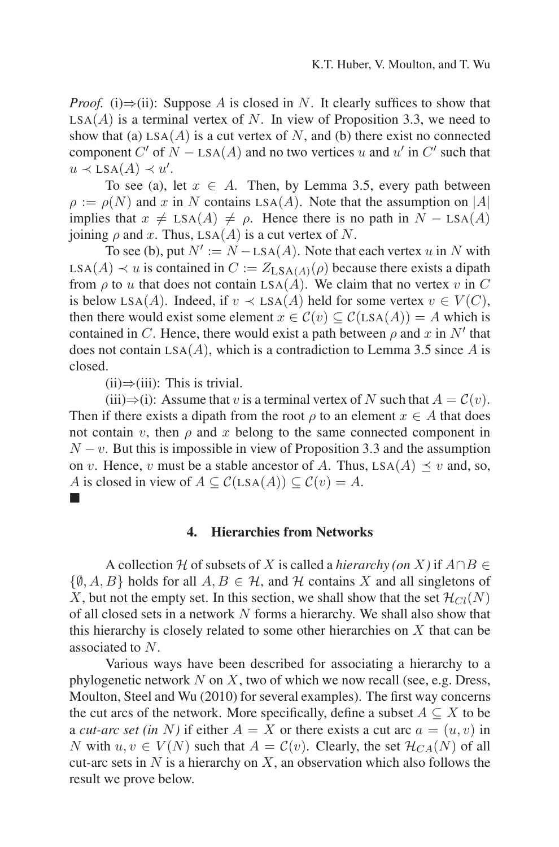*Proof.* (i) $\Rightarrow$ (ii): Suppose A is closed in N. It clearly suffices to show that  $LSA(A)$  is a terminal vertex of N. In view of Proposition 3.3, we need to show that (a)  $LSA(A)$  is a cut vertex of N, and (b) there exist no connected component C' of  $N -$  LSA(A) and no two vertices u and u' in C' such that  $u \prec \text{LSA}(A) \prec u'.$ 

To see (a), let  $x \in A$ . Then, by Lemma 3.5, every path between  $\rho := \rho(N)$  and x in N contains LSA(A). Note that the assumption on |A| implies that  $x \neq \text{LSA}(A) \neq \rho$ . Hence there is no path in  $N - \text{LSA}(A)$ joining  $\rho$  and x. Thus, LSA(A) is a cut vertex of N.

To see (b), put  $N' := N - LSA(A)$ . Note that each vertex u in N with LSA(A)  $\prec u$  is contained in  $C := Z_{LSA(A)}(\rho)$  because there exists a dipath from  $\rho$  to u that does not contain LSA( $\vec{A}$ ). We claim that no vertex v in C is below LSA(A). Indeed, if  $v \prec$  LSA(A) held for some vertex  $v \in V(C)$ , then there would exist some element  $x \in \mathcal{C}(v) \subset \mathcal{C}(LSA(A)) = A$  which is contained in C. Hence, there would exist a path between  $\rho$  and x in N<sup>t</sup> that does not contain  $LSA(A)$ , which is a contradiction to Lemma 3.5 since A is closed.

 $(ii) \Rightarrow (iii)$ : This is trivial.

-

(iii)⇒(i): Assume that v is a terminal vertex of N such that  $A = \mathcal{C}(v)$ . Then if there exists a dipath from the root  $\rho$  to an element  $x \in A$  that does not contain v, then  $\rho$  and x belong to the same connected component in  $N - v$ . But this is impossible in view of Proposition 3.3 and the assumption on v. Hence, v must be a stable ancestor of A. Thus,  $LSA(A) \prec v$  and, so, A is closed in view of  $A \subseteq C(\text{LSA}(A)) \subseteq C(v) = A$ .

### **4. Hierarchies from Networks**

A collection H of subsets of X is called a *hierarchy (on* X) if  $A \cap B \in$  $\{\emptyset, A, B\}$  holds for all  $A, B \in \mathcal{H}$ , and  $\mathcal{H}$  contains X and all singletons of X, but not the empty set. In this section, we shall show that the set  $\mathcal{H}_{Cl}(N)$ of all closed sets in a network N forms a hierarchy. We shall also show that this hierarchy is closely related to some other hierarchies on  $X$  that can be associated to N.

Various ways have been described for associating a hierarchy to a phylogenetic network  $N$  on  $X$ , two of which we now recall (see, e.g. Dress, Moulton, Steel and Wu (2010) for several examples). The first way concerns the cut arcs of the network. More specifically, define a subset  $A \subseteq X$  to be a *cut-arc set (in* N) if either  $A = X$  or there exists a cut arc  $a = (u, v)$  in N with  $u, v \in V(N)$  such that  $A = \mathcal{C}(v)$ . Clearly, the set  $\mathcal{H}_{CA}(N)$  of all cut-arc sets in  $N$  is a hierarchy on  $X$ , an observation which also follows the result we prove below.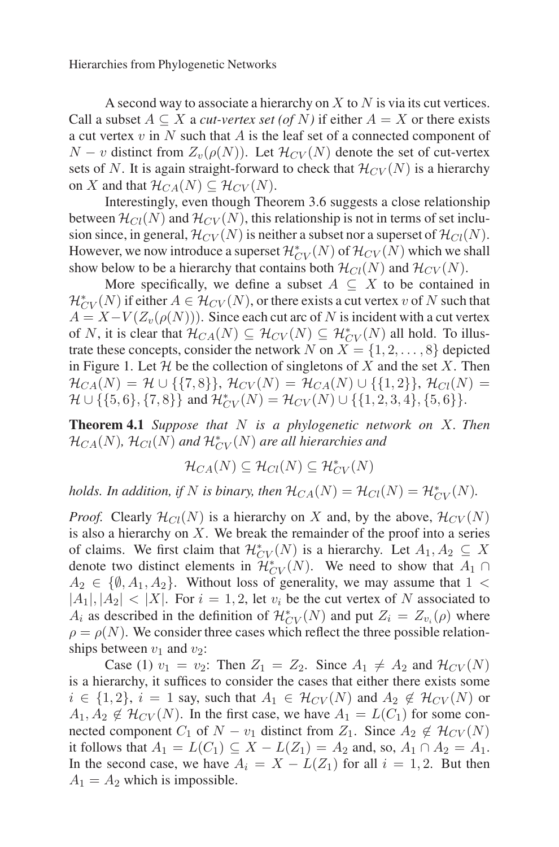A second way to associate a hierarchy on  $X$  to  $N$  is via its cut vertices. Call a subset  $A \subseteq X$  a *cut-vertex set* (of N) if either  $A = X$  or there exists a cut vertex  $v$  in  $N$  such that  $A$  is the leaf set of a connected component of  $N - v$  distinct from  $Z_v(\rho(N))$ . Let  $\mathcal{H}_{CV}(N)$  denote the set of cut-vertex sets of N. It is again straight-forward to check that  $\mathcal{H}_{CV}(N)$  is a hierarchy on X and that  $\mathcal{H}_{CA}(N) \subseteq \mathcal{H}_{CV}(N)$ .

Interestingly, even though Theorem 3.6 suggests a close relationship between  $\mathcal{H}_{Cl}(N)$  and  $\mathcal{H}_{CV}(N)$ , this relationship is not in terms of set inclusion since, in general,  $\mathcal{H}_{CV}(N)$  is neither a subset nor a superset of  $\mathcal{H}_{Cl}(N)$ . However, we now introduce a superset  $\mathcal{H}_{CV}^*(N)$  of  $\mathcal{H}_{CV}(N)$  which we shall show below to be a hierarchy that contains both  $\mathcal{H}_{Cl}(N)$  and  $\mathcal{H}_{CV}(N)$ .

More specifically, we define a subset  $A \subseteq X$  to be contained in  $\mathcal{H}_{CV}^*(N)$  if either  $A \in \mathcal{H}_{CV}(N)$ , or there exists a cut vertex v of N such that  $A = X - V(Z_v(\rho(N)))$ . Since each cut arc of N is incident with a cut vertex of N, it is clear that  $\mathcal{H}_{CA}(N) \subseteq \mathcal{H}_{CV}(N) \subseteq \mathcal{H}_{CV}^*(N)$  all hold. To illustrate these concepts, consider the network N on  $X = \{1, 2, \ldots, 8\}$  depicted in Figure 1. Let  $\mathcal H$  be the collection of singletons of X and the set X. Then  $\mathcal{H}_{CA}(N) = \mathcal{H} \cup \{\{7,8\}\}, \, \mathcal{H}_{CV}(N) = \mathcal{H}_{CA}(N) \cup \{\{1,2\}\}, \, \mathcal{H}_{Cl}(N) =$  $\mathcal{H} \cup \{\{5,6\},\{7,8\}\}\$  and  $\mathcal{H}_{CV}^*(N) = \mathcal{H}_{CV}(N) \cup \{\{1,2,3,4\},\{5,6\}\}.$ 

**Theorem 4.1** *Suppose that* N *is a phylogenetic network on* X*. Then*  $\mathcal{H}_{CA}(N)$ ,  $\mathcal{H}_{Cl}(N)$  and  $\mathcal{H}_{CV}^{*}(N)$  are all hierarchies and

$$
\mathcal{H}_{CA}(N) \subseteq \mathcal{H}_{Cl}(N) \subseteq \mathcal{H}_{CV}^*(N)
$$

*holds. In addition, if* N *is binary, then*  $\mathcal{H}_{CA}(N) = \mathcal{H}_{Cl}(N) = \mathcal{H}_{CV}^{*}(N)$ .

*Proof.* Clearly  $\mathcal{H}_{Cl}(N)$  is a hierarchy on X and, by the above,  $\mathcal{H}_{CV}(N)$ is also a hierarchy on  $X$ . We break the remainder of the proof into a series of claims. We first claim that  $\mathcal{H}_{CV}^*(N)$  is a hierarchy. Let  $A_1, A_2 \subseteq X$ denote two distinct elements in  $\mathcal{H}_{CV}^*(N)$ . We need to show that  $A_1 \cap$  $A_2 \in \{\emptyset, A_1, A_2\}$ . Without loss of generality, we may assume that  $1 \leq$  $|A_1|, |A_2| < |X|$ . For  $i = 1, 2$ , let  $v_i$  be the cut vertex of N associated to  $A_i$  as described in the definition of  $\mathcal{H}_{CV}^*(N)$  and put  $Z_i = Z_{v_i}(\rho)$  where  $\rho = \rho(N)$ . We consider three cases which reflect the three possible relationships between  $v_1$  and  $v_2$ :

Case (1)  $v_1 = v_2$ : Then  $Z_1 = Z_2$ . Since  $A_1 \neq A_2$  and  $\mathcal{H}_{CV}(N)$ is a hierarchy, it suffices to consider the cases that either there exists some  $i \in \{1,2\}, i = 1$  say, such that  $A_1 \in H_{CV}(N)$  and  $A_2 \notin H_{CV}(N)$  or  $A_1, A_2 \notin H_{CV}(N)$ . In the first case, we have  $A_1 = L(C_1)$  for some connected component  $C_1$  of  $N - v_1$  distinct from  $Z_1$ . Since  $A_2 \notin \mathcal{H}_{CV}(N)$ it follows that  $A_1 = L(C_1) \subseteq X - L(Z_1) = A_2$  and, so,  $A_1 \cap A_2 = A_1$ . In the second case, we have  $A_i = X - L(Z_1)$  for all  $i = 1, 2$ . But then  $A_1 = A_2$  which is impossible.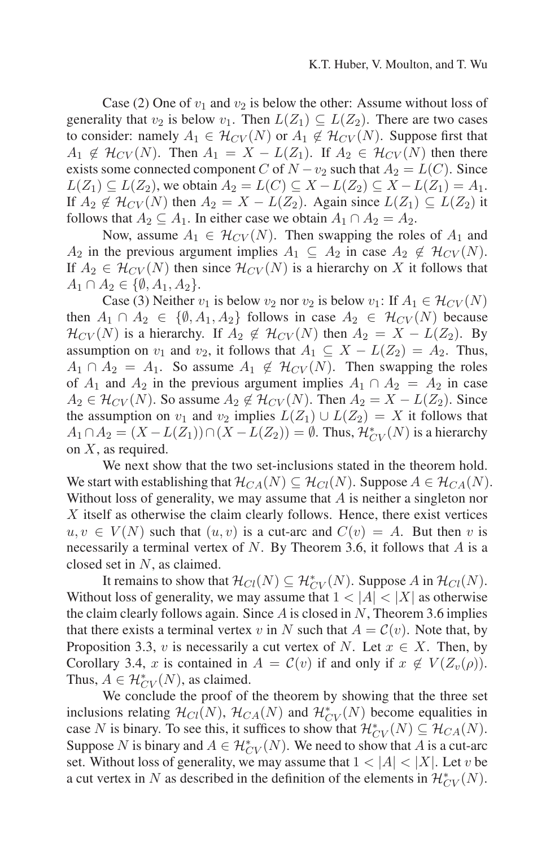Case (2) One of  $v_1$  and  $v_2$  is below the other: Assume without loss of generality that  $v_2$  is below  $v_1$ . Then  $L(Z_1) \subseteq L(Z_2)$ . There are two cases to consider: namely  $A_1 \in \mathcal{H}_{CV}(N)$  or  $A_1 \notin \mathcal{H}_{CV}(N)$ . Suppose first that  $A_1 \notin H_{CV}(N)$ . Then  $A_1 = X - L(Z_1)$ . If  $A_2 \in H_{CV}(N)$  then there exists some connected component C of  $N-v_2$  such that  $A_2 = L(C)$ . Since  $L(Z_1) \subseteq L(Z_2)$ , we obtain  $A_2 = L(C) \subseteq X - L(Z_2) \subseteq X - L(Z_1) = A_1$ . If  $A_2 \notin \mathcal{H}_{CV}(N)$  then  $A_2 = X - L(Z_2)$ . Again since  $L(Z_1) \subseteq L(Z_2)$  it follows that  $A_2 \subseteq A_1$ . In either case we obtain  $A_1 \cap A_2 = A_2$ .

Now, assume  $A_1 \in \mathcal{H}_{CV}(N)$ . Then swapping the roles of  $A_1$  and  $A_2$  in the previous argument implies  $A_1 \subseteq A_2$  in case  $A_2 \notin \mathcal{H}_{CV}(N)$ . If  $A_2 \in \mathcal{H}_{CV}(N)$  then since  $\mathcal{H}_{CV}(N)$  is a hierarchy on X it follows that  $A_1 \cap A_2 \in \{\emptyset, A_1, A_2\}.$ 

Case (3) Neither  $v_1$  is below  $v_2$  nor  $v_2$  is below  $v_1$ : If  $A_1 \in \mathcal{H}_{CV}(N)$ then  $A_1 \cap A_2 \in \{ \emptyset, A_1, A_2 \}$  follows in case  $A_2 \in \mathcal{H}_{CV}(N)$  because  $\mathcal{H}_{CV}(N)$  is a hierarchy. If  $A_2 \notin \mathcal{H}_{CV}(N)$  then  $A_2 = X - L(Z_2)$ . By assumption on  $v_1$  and  $v_2$ , it follows that  $A_1 \subseteq X - L(Z_2) = A_2$ . Thus,  $A_1 \cap A_2 = A_1$ . So assume  $A_1 \notin H_{CV}(N)$ . Then swapping the roles of  $A_1$  and  $A_2$  in the previous argument implies  $A_1 \cap A_2 = A_2$  in case  $A_2 \in H_{CV}(N)$ . So assume  $A_2 \notin H_{CV}(N)$ . Then  $A_2 = X - L(Z_2)$ . Since the assumption on  $v_1$  and  $v_2$  implies  $L(Z_1) \cup L(Z_2) = X$  it follows that  $A_1 \cap A_2 = (X - L(Z_1)) \cap (X - L(Z_2)) = \emptyset$ . Thus,  $\mathcal{H}_{CV}^*(N)$  is a hierarchy on X, as required.

We next show that the two set-inclusions stated in the theorem hold. We start with establishing that  $\mathcal{H}_{CA}(N) \subseteq \mathcal{H}_{Cl}(N)$ . Suppose  $A \in \mathcal{H}_{CA}(N)$ . Without loss of generality, we may assume that  $A$  is neither a singleton nor X itself as otherwise the claim clearly follows. Hence, there exist vertices  $u, v \in V(N)$  such that  $(u, v)$  is a cut-arc and  $C(v) = A$ . But then v is necessarily a terminal vertex of  $N$ . By Theorem 3.6, it follows that  $A$  is a closed set in N, as claimed.

It remains to show that  $\mathcal{H}_{Cl}(N) \subseteq \mathcal{H}_{CV}^*(N)$ . Suppose A in  $\mathcal{H}_{Cl}(N)$ . Without loss of generality, we may assume that  $1 < |A| < |X|$  as otherwise the claim clearly follows again. Since  $A$  is closed in  $N$ , Theorem 3.6 implies that there exists a terminal vertex v in N such that  $A = \mathcal{C}(v)$ . Note that, by Proposition 3.3, v is necessarily a cut vertex of N. Let  $x \in X$ . Then, by Corollary 3.4, x is contained in  $A = \mathcal{C}(v)$  if and only if  $x \notin V(Z_v(\rho))$ . Thus,  $A \in \mathcal{H}_{CV}^*(N)$ , as claimed.

We conclude the proof of the theorem by showing that the three set inclusions relating  $\mathcal{H}_{Cl}(N)$ ,  $\mathcal{H}_{CA}(N)$  and  $\mathcal{H}_{CV}^{*}(N)$  become equalities in case N is binary. To see this, it suffices to show that  $\mathcal{H}_{CV}^*(N) \subseteq \mathcal{H}_{CA}(N)$ . Suppose N is binary and  $A \in \mathcal{H}_{CV}^*(N)$ . We need to show that A is a cut-arc set. Without loss of generality, we may assume that  $1 < |A| < |X|$ . Let v be a cut vertex in N as described in the definition of the elements in  $\mathcal{H}_{CV}^*(N)$ .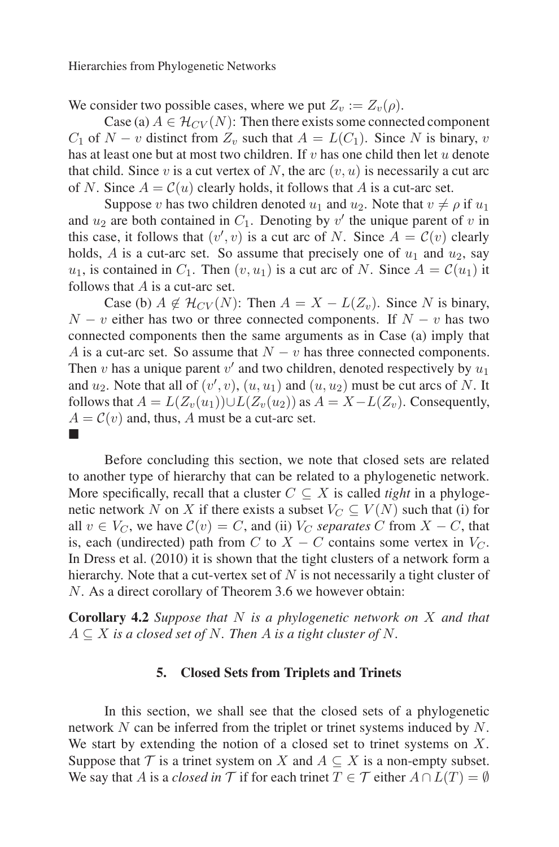We consider two possible cases, where we put  $Z_v := Z_v(\rho)$ .

Case (a)  $A \in \mathcal{H}_{CV}(N)$ : Then there exists some connected component  $C_1$  of  $N - v$  distinct from  $Z_v$  such that  $A = L(C_1)$ . Since N is binary, v has at least one but at most two children. If  $v$  has one child then let  $u$  denote that child. Since v is a cut vertex of N, the arc  $(v, u)$  is necessarily a cut arc of N. Since  $A = \mathcal{C}(u)$  clearly holds, it follows that A is a cut-arc set.

Suppose v has two children denoted  $u_1$  and  $u_2$ . Note that  $v \neq \rho$  if  $u_1$ and  $u_2$  are both contained in  $C_1$ . Denoting by  $v'$  the unique parent of  $v$  in this case, it follows that  $(v', v)$  is a cut arc of N. Since  $A = C(v)$  clearly holds, A is a cut-arc set. So assume that precisely one of  $u_1$  and  $u_2$ , say  $u_1$ , is contained in  $C_1$ . Then  $(v, u_1)$  is a cut arc of N. Since  $A = \mathcal{C}(u_1)$  it follows that  $A$  is a cut-arc set.

Case (b)  $A \notin \mathcal{H}_{CV}(N)$ : Then  $A = X - L(Z_v)$ . Since N is binary,  $N - v$  either has two or three connected components. If  $N - v$  has two connected components then the same arguments as in Case (a) imply that A is a cut-arc set. So assume that  $N - v$  has three connected components. Then v has a unique parent  $v'$  and two children, denoted respectively by  $u_1$ and  $u_2$ . Note that all of  $(v', v)$ ,  $(u, u_1)$  and  $(u, u_2)$  must be cut arcs of N. It follows that  $A = L(Z_v(u_1)) \cup L(Z_v(u_2))$  as  $A = X - L(Z_v)$ . Consequently,  $A = \mathcal{C}(v)$  and, thus, A must be a cut-arc set. -

Before concluding this section, we note that closed sets are related to another type of hierarchy that can be related to a phylogenetic network. More specifically, recall that a cluster  $C \subseteq X$  is called *tight* in a phylogenetic network N on X if there exists a subset  $V_C \subseteq V(N)$  such that (i) for all  $v \in V_C$ , we have  $C(v) = C$ , and (ii)  $V_C$  *separates* C from  $X - C$ , that is, each (undirected) path from C to  $X - C$  contains some vertex in  $V_C$ . In Dress et al. (2010) it is shown that the tight clusters of a network form a hierarchy. Note that a cut-vertex set of  $N$  is not necessarily a tight cluster of N. As a direct corollary of Theorem 3.6 we however obtain:

**Corollary 4.2** *Suppose that* N *is a phylogenetic network on* X *and that*  $A \subseteq X$  *is a closed set of* N. Then A *is a tight cluster of* N.

# **5. Closed Sets from Triplets and Trinets**

In this section, we shall see that the closed sets of a phylogenetic network N can be inferred from the triplet or trinet systems induced by N. We start by extending the notion of a closed set to trinet systems on  $X$ . Suppose that  $\mathcal T$  is a trinet system on  $X$  and  $A \subseteq X$  is a non-empty subset. We say that A is a *closed in* T if for each trinet  $T \in T$  either  $A \cap L(T) = \emptyset$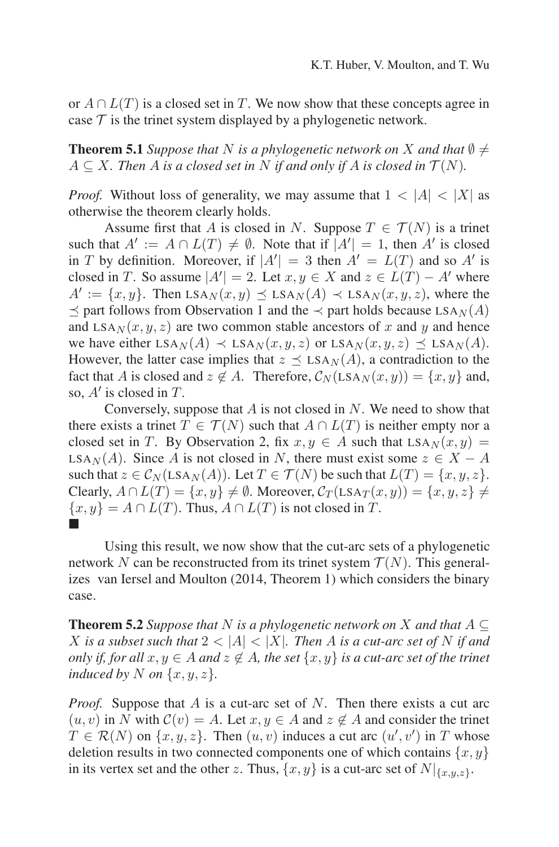or  $A \cap L(T)$  is a closed set in T. We now show that these concepts agree in case  $\tau$  is the trinet system displayed by a phylogenetic network.

**Theorem 5.1** *Suppose that* N *is a phylogenetic network on* X *and that*  $\emptyset \neq$  $A \subseteq X$ . Then A is a closed set in N if and only if A is closed in  $\mathcal{T}(N)$ .

*Proof.* Without loss of generality, we may assume that  $1 < |A| < |X|$  as otherwise the theorem clearly holds.

Assume first that A is closed in N. Suppose  $T \in \mathcal{T}(N)$  is a trinet such that  $A' := A \cap L(T) \neq \emptyset$ . Note that if  $|A'| = 1$ , then A' is closed in T by definition. Moreover, if  $|A'| = 3$  then  $A' = L(T)$  and so A' is closed in T. So assume  $|A'| = 2$ . Let  $x, y \in X$  and  $z \in L(T) - A'$  where  $A' := \{x, y\}$ . Then  $LSA_N(x, y) \preceq LSA_N(A) \prec LSA_N(x, y, z)$ , where the  $\preceq$  part follows from Observation 1 and the  $\prec$  part holds because LSA<sub>N</sub>(A) and  $LSA_N(x, y, z)$  are two common stable ancestors of x and y and hence we have either  $LSA_N(A) \prec LSA_N(x, y, z)$  or  $LSA_N(x, y, z) \prec LSA_N(A)$ . However, the latter case implies that  $z \preceq$  LSA<sub>N</sub>(A), a contradiction to the fact that A is closed and  $z \notin A$ . Therefore,  $C_N(\text{LSA}_N(x, y)) = \{x, y\}$  and, so,  $A'$  is closed in T.

Conversely, suppose that  $A$  is not closed in  $N$ . We need to show that there exists a trinet  $T \in \mathcal{T}(N)$  such that  $A \cap L(T)$  is neither empty nor a closed set in T. By Observation 2, fix  $x, y \in A$  such that  $LSA_N(x, y) =$ LSA<sub>N</sub>(A). Since A is not closed in N, there must exist some  $z \in X - A$ such that  $z \in \mathcal{C}_N(\text{LSA}_N(A))$ . Let  $T \in \mathcal{T}(N)$  be such that  $L(T) = \{x, y, z\}$ . Clearly,  $A \cap L(T) = \{x, y\} \neq \emptyset$ . Moreover,  $C_T(\text{LSA}_T(x, y)) = \{x, y, z\} \neq$  $\{x, y\} = A \cap L(T)$ . Thus,  $A \cap L(T)$  is not closed in T. -

Using this result, we now show that the cut-arc sets of a phylogenetic network N can be reconstructed from its trinet system  $\mathcal{T}(N)$ . This generalizes van Iersel and Moulton (2014, Theorem 1) which considers the binary case.

**Theorem 5.2** *Suppose that* N *is a phylogenetic network on* X *and that*  $A \subseteq$ X is a subset such that  $2 < |A| < |X|$ . Then A is a cut-arc set of N if and *only if, for all*  $x, y \in A$  *and*  $z \notin A$ *, the set*  $\{x, y\}$  *is a cut-arc set of the trinet induced by* N on  $\{x, y, z\}$ .

*Proof.* Suppose that A is a cut-arc set of N. Then there exists a cut arc  $(u, v)$  in N with  $C(v) = A$ . Let  $x, y \in A$  and  $z \notin A$  and consider the trinet  $T \in \mathcal{R}(N)$  on  $\{x, y, z\}$ . Then  $(u, v)$  induces a cut arc  $(u', v')$  in T whose deletion results in two connected components one of which contains  $\{x, y\}$ in its vertex set and the other z. Thus,  $\{x, y\}$  is a cut-arc set of  $N|_{\{x,y,z\}}$ .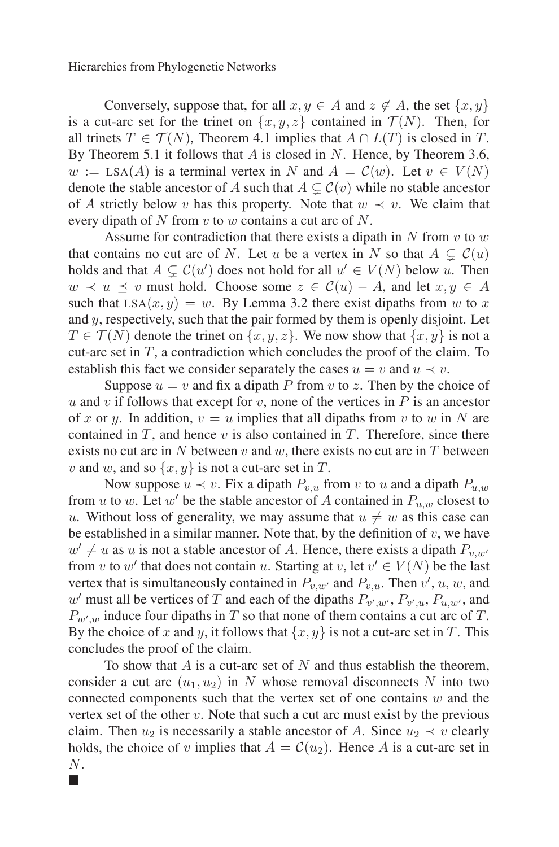Conversely, suppose that, for all  $x, y \in A$  and  $z \notin A$ , the set  $\{x, y\}$ is a cut-arc set for the trinet on  $\{x, y, z\}$  contained in  $\mathcal{T}(N)$ . Then, for all trinets  $T \in \mathcal{T}(N)$ , Theorem 4.1 implies that  $A \cap L(T)$  is closed in T. By Theorem 5.1 it follows that  $A$  is closed in  $N$ . Hence, by Theorem 3.6,  $w := \text{LSA}(A)$  is a terminal vertex in N and  $A = \mathcal{C}(w)$ . Let  $v \in V(N)$ denote the stable ancestor of A such that  $A \subsetneq C(v)$  while no stable ancestor of A strictly below v has this property. Note that  $w \prec v$ . We claim that every dipath of N from v to w contains a cut arc of N.

Assume for contradiction that there exists a dipath in  $N$  from  $v$  to  $w$ that contains no cut arc of N. Let u be a vertex in N so that  $A \subsetneq C(u)$ holds and that  $A \subsetneq C(u')$  does not hold for all  $u' \in V(N)$  below u. Then  $w \prec u \prec v$  must hold. Choose some  $z \in \mathcal{C}(u) - A$ , and let  $x, y \in A$ such that  $LSA(x, y) = w$ . By Lemma 3.2 there exist dipaths from w to x and y, respectively, such that the pair formed by them is openly disjoint. Let  $T \in \mathcal{T}(N)$  denote the trinet on  $\{x, y, z\}$ . We now show that  $\{x, y\}$  is not a cut-arc set in  $T$ , a contradiction which concludes the proof of the claim. To establish this fact we consider separately the cases  $u = v$  and  $u \prec v$ .

Suppose  $u = v$  and fix a dipath P from v to z. Then by the choice of u and v if follows that except for v, none of the vertices in  $P$  is an ancestor of x or y. In addition,  $v = u$  implies that all dipaths from v to w in N are contained in  $T$ , and hence  $v$  is also contained in  $T$ . Therefore, since there exists no cut arc in N between v and w, there exists no cut arc in T between v and w, and so  $\{x, y\}$  is not a cut-arc set in T.

Now suppose  $u \prec v$ . Fix a dipath  $P_{v,u}$  from v to u and a dipath  $P_{u,w}$ from u to w. Let w' be the stable ancestor of A contained in  $P_{u,w}$  closest to u. Without loss of generality, we may assume that  $u \neq w$  as this case can be established in a similar manner. Note that, by the definition of  $v$ , we have  $w' \neq u$  as u is not a stable ancestor of A. Hence, there exists a dipath  $P_{v,w'}$ from v to w' that does not contain u. Starting at v, let  $v' \in V(N)$  be the last vertex that is simultaneously contained in  $P_{v,w'}$  and  $P_{v,u}$ . Then  $v', u, w$ , and  $w'$  must all be vertices of T and each of the dipaths  $P_{v',w'}$ ,  $P_{v',u}$ ,  $P_{u,w'}$ , and  $P_{w',w}$  induce four dipaths in T so that none of them contains a cut arc of T. By the choice of x and y, it follows that  $\{x, y\}$  is not a cut-arc set in T. This concludes the proof of the claim.

To show that  $A$  is a cut-arc set of  $N$  and thus establish the theorem, consider a cut arc  $(u_1, u_2)$  in N whose removal disconnects N into two connected components such that the vertex set of one contains  $w$  and the vertex set of the other  $v$ . Note that such a cut arc must exist by the previous claim. Then  $u_2$  is necessarily a stable ancestor of A. Since  $u_2 \prec v$  clearly holds, the choice of v implies that  $A = \mathcal{C}(u_2)$ . Hence A is a cut-arc set in N.

-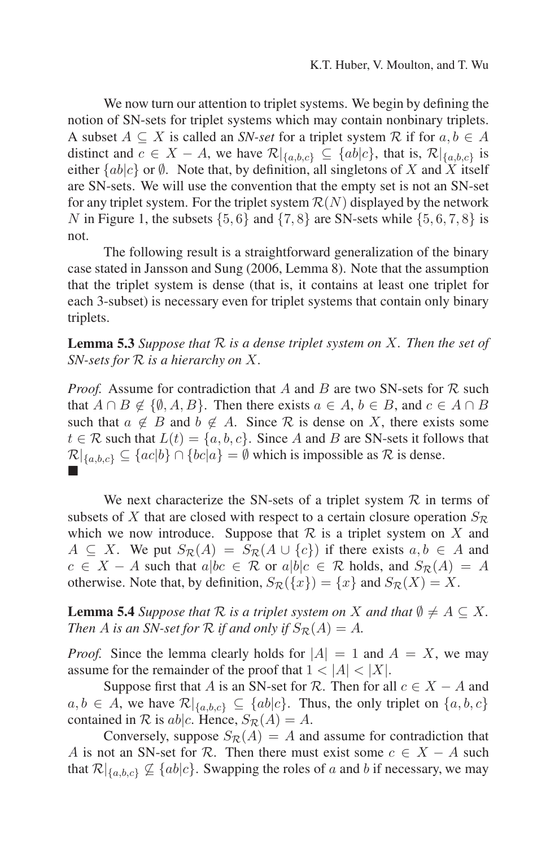We now turn our attention to triplet systems. We begin by defining the notion of SN-sets for triplet systems which may contain nonbinary triplets. A subset  $A \subseteq X$  is called an *SN-set* for a triplet system  $R$  if for  $a, b \in A$ distinct and  $c \in X - A$ , we have  $\mathcal{R}|_{\{a,b,c\}} \subseteq \{ab|c\}$ , that is,  $\mathcal{R}|_{\{a,b,c\}}$  is either  ${ab|c}$  or  $\emptyset$ . Note that, by definition, all singletons of X and X itself are SN-sets. We will use the convention that the empty set is not an SN-set for any triplet system. For the triplet system  $\mathcal{R}(N)$  displayed by the network N in Figure 1, the subsets  $\{5, 6\}$  and  $\{7, 8\}$  are SN-sets while  $\{5, 6, 7, 8\}$  is not.

The following result is a straightforward generalization of the binary case stated in Jansson and Sung (2006, Lemma 8). Note that the assumption that the triplet system is dense (that is, it contains at least one triplet for each 3-subset) is necessary even for triplet systems that contain only binary triplets.

**Lemma 5.3** *Suppose that* R *is a dense triplet system on* X*. Then the set of SN-sets for* R *is a hierarchy on* X*.*

*Proof.* Assume for contradiction that A and B are two SN-sets for  $\mathcal R$  such that  $A \cap B \notin \{ \emptyset, A, B \}$ . Then there exists  $a \in A$ ,  $b \in B$ , and  $c \in A \cap B$ such that  $a \notin B$  and  $b \notin A$ . Since R is dense on X, there exists some  $t \in \mathcal{R}$  such that  $L(t) = \{a, b, c\}$ . Since A and B are SN-sets it follows that  $\mathcal{R}|_{\{a,b,c\}} \subseteq \{ac|b\} \cap \{bc|a\} = \emptyset$  which is impossible as  $\mathcal{R}$  is dense. -

We next characterize the SN-sets of a triplet system  $\mathcal R$  in terms of subsets of X that are closed with respect to a certain closure operation  $S_{\mathcal{R}}$ which we now introduce. Suppose that  $R$  is a triplet system on X and  $A \subseteq X$ . We put  $S_{\mathcal{R}}(A) = S_{\mathcal{R}}(A \cup \{c\})$  if there exists  $a, b \in A$  and  $c \in X - A$  such that  $a|bc \in \mathcal{R}$  or  $a|b|c \in \mathcal{R}$  holds, and  $S_{\mathcal{R}}(A) = A$ otherwise. Note that, by definition,  $S_{\mathcal{R}}(\{x\}) = \{x\}$  and  $S_{\mathcal{R}}(X) = X$ .

**Lemma 5.4** *Suppose that*  $\mathcal{R}$  *is a triplet system on* X *and that*  $\emptyset \neq A \subseteq X$ . *Then A is an SN-set for*  $R$  *if and only if*  $S_R(A) = A$ *.* 

*Proof.* Since the lemma clearly holds for  $|A| = 1$  and  $A = X$ , we may assume for the remainder of the proof that  $1 < |A| < |X|$ .

Suppose first that A is an SN-set for R. Then for all  $c \in X - A$  and  $a, b \in A$ , we have  $\mathcal{R}|_{\{a,b,c\}} \subseteq \{ab|c\}$ . Thus, the only triplet on  $\{a,b,c\}$ contained in  $\mathcal R$  is ab|c. Hence,  $S_{\mathcal R}(A) = A$ .

Conversely, suppose  $S_{\mathcal{R}}(A) = A$  and assume for contradiction that A is not an SN-set for R. Then there must exist some  $c \in X - A$  such that  $\mathcal{R}|_{\{a,b,c\}} \nsubseteq \{ab|c\}$ . Swapping the roles of a and b if necessary, we may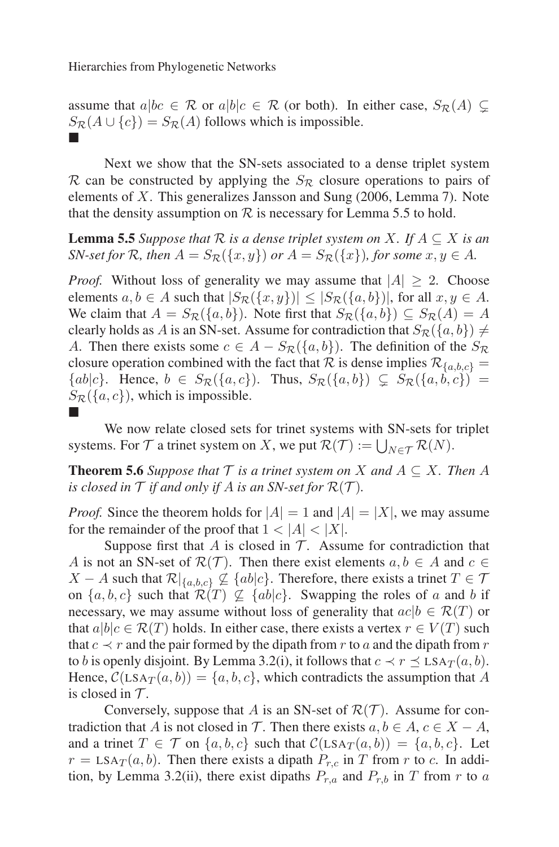assume that  $a|bc \in \mathcal{R}$  or  $a|b|c \in \mathcal{R}$  (or both). In either case,  $S_{\mathcal{R}}(A) \subsetneq$  $S_{\mathcal{R}}(A \cup \{c\}) = S_{\mathcal{R}}(A)$  follows which is impossible. -

Next we show that the SN-sets associated to a dense triplet system  $\mathcal R$  can be constructed by applying the  $S_{\mathcal R}$  closure operations to pairs of elements of  $X$ . This generalizes Jansson and Sung  $(2006, \text{Lemma 7})$ . Note that the density assumption on  $R$  is necessary for Lemma 5.5 to hold.

**Lemma 5.5** *Suppose that*  $\mathcal R$  *is a dense triplet system on*  $X$ *. If*  $A \subseteq X$  *is an SN-set for* R, then  $A = S_{\mathcal{R}}(\{x, y\})$  *or*  $A = S_{\mathcal{R}}(\{x\})$ *, for some*  $x, y \in A$ *.* 

*Proof.* Without loss of generality we may assume that  $|A| \ge 2$ . Choose elements  $a, b \in A$  such that  $|S_{\mathcal{R}}(\{x, y\})| \leq |S_{\mathcal{R}}(\{a, b\})|$ , for all  $x, y \in A$ . We claim that  $A = S_{\mathcal{R}}(\{a, b\})$ . Note first that  $S_{\mathcal{R}}(\{a, b\}) \subseteq S_{\mathcal{R}}(A) = A$ clearly holds as A is an SN-set. Assume for contradiction that  $S_{\mathcal{R}}(\{a, b\}) \neq$ A. Then there exists some  $c \in A - S_{\mathcal{R}}({a,b})$ . The definition of the  $S_{\mathcal{R}}$ closure operation combined with the fact that R is dense implies  $\mathcal{R}_{\{a,b,c\}} =$  ${ab|c}.$  Hence,  $b \in S_{\mathcal{R}}({a, c})$ . Thus,  $S_{\mathcal{R}}({a, b}) \subsetneq S_{\mathcal{R}}({a, b, c}) =$  $S_{\mathcal{R}}(\{a, c\})$ , which is impossible. -

We now relate closed sets for trinet systems with SN-sets for triplet systems. For  $T$  a trinet system on X, we put  $\mathcal{R}(\mathcal{T}) := \bigcup_{N \in \mathcal{T}} \mathcal{R}(N)$ .

**Theorem 5.6** *Suppose that*  $\mathcal T$  *is a trinet system on*  $X$  *and*  $A \subseteq X$ *. Then*  $A$ *is closed in*  $\mathcal T$  *if and only if*  $A$  *is an SN-set for*  $\mathcal R(\mathcal T)$ *.* 

*Proof.* Since the theorem holds for  $|A| = 1$  and  $|A| = |X|$ , we may assume for the remainder of the proof that  $1 < |A| < |X|$ .

Suppose first that  $A$  is closed in  $T$ . Assume for contradiction that A is not an SN-set of  $\mathcal{R}(\mathcal{T})$ . Then there exist elements  $a, b \in A$  and  $c \in \mathcal{T}$  $X - A$  such that  $\mathcal{R}|_{\{a,b,c\}} \nsubseteq \{ab|c\}$ . Therefore, there exists a trinet  $T \in \mathcal{T}$ on  $\{a, b, c\}$  such that  $\mathcal{R}(T) \nsubseteq \{ab|c\}$ . Swapping the roles of a and b if necessary, we may assume without loss of generality that  $ac/b \in \mathcal{R}(T)$  or that  $a|b|c \in \mathcal{R}(T)$  holds. In either case, there exists a vertex  $r \in V(T)$  such that  $c \prec r$  and the pair formed by the dipath from r to a and the dipath from r to b is openly disjoint. By Lemma 3.2(i), it follows that  $c \prec r \preceq \text{LSA}_{\mathcal{T}}(a, b)$ . Hence,  $C(\text{LSA}_T(a, b)) = \{a, b, c\}$ , which contradicts the assumption that A is closed in  $\mathcal{T}$ .

Conversely, suppose that A is an SN-set of  $\mathcal{R}(\mathcal{T})$ . Assume for contradiction that A is not closed in T. Then there exists  $a, b \in A, c \in X - A$ , and a trinet  $T \in \mathcal{T}$  on  $\{a, b, c\}$  such that  $\mathcal{C}(LSA_T(a, b)) = \{a, b, c\}$ . Let  $r =$  LSA $_T(a, b)$ . Then there exists a dipath  $P_{r,c}$  in T from r to c. In addition, by Lemma 3.2(ii), there exist dipaths  $P_{r,a}$  and  $P_{r,b}$  in T from r to a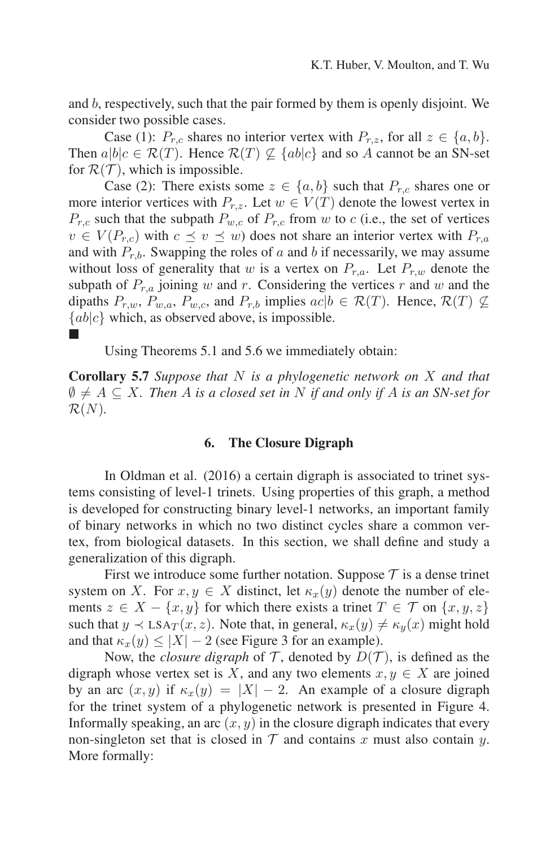and b, respectively, such that the pair formed by them is openly disjoint. We consider two possible cases.

Case (1):  $P_{r,c}$  shares no interior vertex with  $P_{r,z}$ , for all  $z \in \{a, b\}$ . Then  $a|b|c \in \mathcal{R}(T)$ . Hence  $\mathcal{R}(T) \nsubseteq \{ab|c\}$  and so A cannot be an SN-set for  $\mathcal{R}(\mathcal{T})$ , which is impossible.

Case (2): There exists some  $z \in \{a, b\}$  such that  $P_{r,c}$  shares one or more interior vertices with  $P_{r,z}$ . Let  $w \in V(T)$  denote the lowest vertex in  $P_{r,c}$  such that the subpath  $P_{w,c}$  of  $P_{r,c}$  from w to c (i.e., the set of vertices  $v \in V(P_{r,c})$  with  $c \preceq v \preceq w$ ) does not share an interior vertex with  $P_{r,a}$ and with  $P_{r,b}$ . Swapping the roles of a and b if necessarily, we may assume without loss of generality that w is a vertex on  $P_{r,a}$ . Let  $P_{r,w}$  denote the subpath of  $P_{r,a}$  joining w and r. Considering the vertices r and w and the dipaths  $P_{r,w}$ ,  $P_{w,a}$ ,  $P_{w,c}$ , and  $P_{r,b}$  implies  $ac|b \in \mathcal{R}(T)$ . Hence,  $\mathcal{R}(T) \nsubseteq$  ${ab|c}$  which, as observed above, is impossible. -

Using Theorems 5.1 and 5.6 we immediately obtain:

**Corollary 5.7** *Suppose that* N *is a phylogenetic network on* X *and that*  $\emptyset \neq A \subseteq X$ . Then A is a closed set in N if and only if A is an SN-set for  $\mathcal{R}(N)$ .

### **6. The Closure Digraph**

In Oldman et al. (2016) a certain digraph is associated to trinet systems consisting of level-1 trinets. Using properties of this graph, a method is developed for constructing binary level-1 networks, an important family of binary networks in which no two distinct cycles share a common vertex, from biological datasets. In this section, we shall define and study a generalization of this digraph.

First we introduce some further notation. Suppose  $\mathcal T$  is a dense trinet system on X. For  $x, y \in X$  distinct, let  $\kappa_x(y)$  denote the number of elements  $z \in X - \{x, y\}$  for which there exists a trinet  $T \in \mathcal{T}$  on  $\{x, y, z\}$ such that  $y \prec \text{LSA}_T(x, z)$ . Note that, in general,  $\kappa_x(y) \neq \kappa_y(x)$  might hold and that  $\kappa_x(y) \le |X| - 2$  (see Figure 3 for an example).

Now, the *closure digraph* of T, denoted by  $D(T)$ , is defined as the digraph whose vertex set is X, and any two elements  $x, y \in X$  are joined by an arc  $(x, y)$  if  $\kappa_x(y) = |X| - 2$ . An example of a closure digraph for the trinet system of a phylogenetic network is presented in Figure 4. Informally speaking, an arc  $(x, y)$  in the closure digraph indicates that every non-singleton set that is closed in  $T$  and contains x must also contain y. More formally: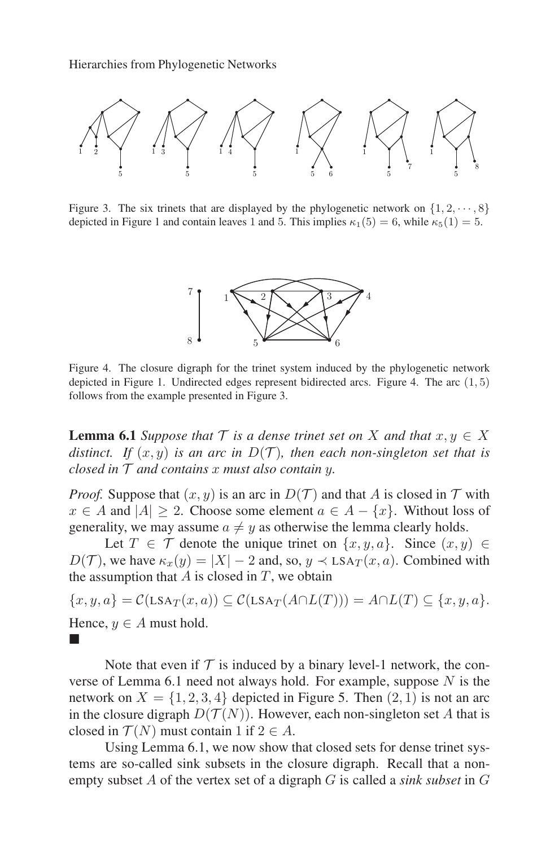

Figure 3. The six trinets that are displayed by the phylogenetic network on  $\{1, 2, \dots, 8\}$ depicted in Figure 1 and contain leaves 1 and 5. This implies  $\kappa_1(5) = 6$ , while  $\kappa_5(1) = 5$ .



Figure 4. The closure digraph for the trinet system induced by the phylogenetic network depicted in Figure 1. Undirected edges represent bidirected arcs. Figure 4. The arc  $(1, 5)$ follows from the example presented in Figure 3.

**Lemma 6.1** *Suppose that*  $\mathcal{T}$  *is a dense trinet set on* X *and that*  $x, y \in X$ *distinct.* If  $(x, y)$  *is an arc in*  $D(T)$ *, then each non-singleton set that is closed in*  $\mathcal T$  *and contains* x *must also contain* y.

*Proof.* Suppose that  $(x, y)$  is an arc in  $D(\mathcal{T})$  and that A is closed in  $\mathcal T$  with  $x \in A$  and  $|A| \ge 2$ . Choose some element  $a \in A - \{x\}$ . Without loss of generality, we may assume  $a \neq y$  as otherwise the lemma clearly holds.

Let  $T \in \mathcal{T}$  denote the unique trinet on  $\{x, y, a\}$ . Since  $(x, y) \in$  $D(\mathcal{T})$ , we have  $\kappa_x(y) = |X| - 2$  and, so,  $y \prec \text{LSA}_{\mathcal{T}}(x, a)$ . Combined with the assumption that  $A$  is closed in  $T$ , we obtain

 $\{x, y, a\} = \mathcal{C}(\text{LSA}_{T}(x, a)) \subseteq \mathcal{C}(\text{LSA}_{T}(A \cap L(T))) = A \cap L(T) \subseteq \{x, y, a\}.$ Hence,  $y \in A$  must hold. -

Note that even if  $T$  is induced by a binary level-1 network, the converse of Lemma 6.1 need not always hold. For example, suppose  $N$  is the network on  $X = \{1, 2, 3, 4\}$  depicted in Figure 5. Then  $(2, 1)$  is not an arc in the closure digraph  $D(\mathcal{T}(N))$ . However, each non-singleton set A that is closed in  $\mathcal{T}(N)$  must contain 1 if  $2 \in A$ .

Using Lemma 6.1, we now show that closed sets for dense trinet systems are so-called sink subsets in the closure digraph. Recall that a nonempty subset A of the vertex set of a digraph G is called a *sink subset* in G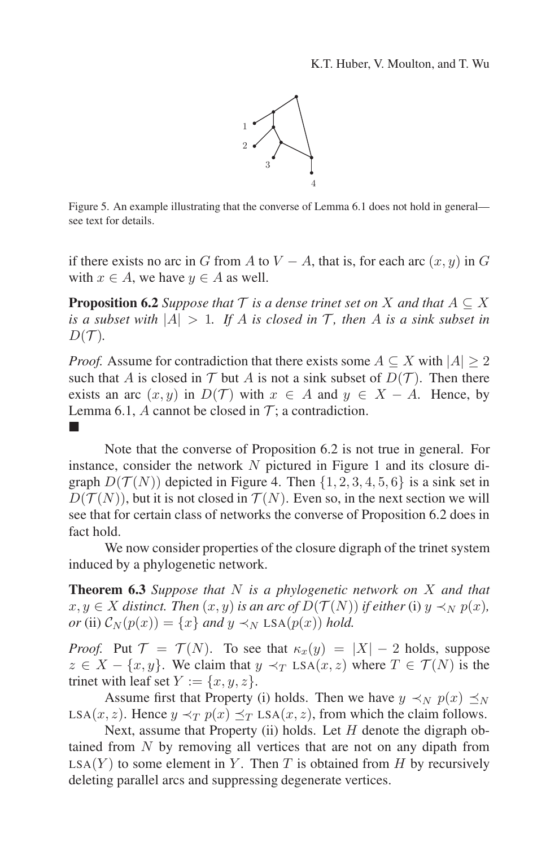

Figure 5. An example illustrating that the converse of Lemma 6.1 does not hold in general see text for details.

if there exists no arc in G from A to  $V - A$ , that is, for each arc  $(x, y)$  in G with  $x \in A$ , we have  $y \in A$  as well.

**Proposition 6.2** *Suppose that*  $\mathcal{T}$  *is a dense trinet set on* X *and that*  $A \subseteq X$ *is a subset with*  $|A| > 1$ *. If* A *is closed in* T, then A *is a sink subset in*  $D(\mathcal{T})$ .

*Proof.* Assume for contradiction that there exists some  $A \subseteq X$  with  $|A| \geq 2$ such that A is closed in  $T$  but A is not a sink subset of  $D(T)$ . Then there exists an arc  $(x, y)$  in  $D(\mathcal{T})$  with  $x \in A$  and  $y \in X - A$ . Hence, by Lemma 6.1, A cannot be closed in  $\mathcal{T}$ ; a contradiction. -

Note that the converse of Proposition 6.2 is not true in general. For instance, consider the network  $N$  pictured in Figure 1 and its closure digraph  $D(T(N))$  depicted in Figure 4. Then  $\{1, 2, 3, 4, 5, 6\}$  is a sink set in  $D(\mathcal{T}(N))$ , but it is not closed in  $\mathcal{T}(N)$ . Even so, in the next section we will see that for certain class of networks the converse of Proposition 6.2 does in fact hold.

We now consider properties of the closure digraph of the trinet system induced by a phylogenetic network.

**Theorem 6.3** *Suppose that* N *is a phylogenetic network on* X *and that*  $x, y \in X$  *distinct. Then*  $(x, y)$  *is an arc of*  $D(\mathcal{T}(N))$  *if either* (i)  $y \prec_N p(x)$ *, or* (ii)  $C_N(p(x)) = \{x\}$  *and*  $y \prec_N \text{LSA}(p(x))$  *hold.* 

*Proof.* Put  $\mathcal{T} = \mathcal{T}(N)$ . To see that  $\kappa_x(y) = |X| - 2$  holds, suppose  $z \in X - \{x, y\}$ . We claim that  $y \prec_T \text{LSA}(x, z)$  where  $T \in \mathcal{T}(N)$  is the trinet with leaf set  $Y := \{x, y, z\}.$ 

Assume first that Property (i) holds. Then we have  $y \prec_N p(x) \preceq_N$ LSA(x, z). Hence  $y \prec_T p(x) \preceq_T LSA(x, z)$ , from which the claim follows.

Next, assume that Property (ii) holds. Let  $H$  denote the digraph obtained from N by removing all vertices that are not on any dipath from  $LSA(Y)$  to some element in Y. Then T is obtained from H by recursively deleting parallel arcs and suppressing degenerate vertices.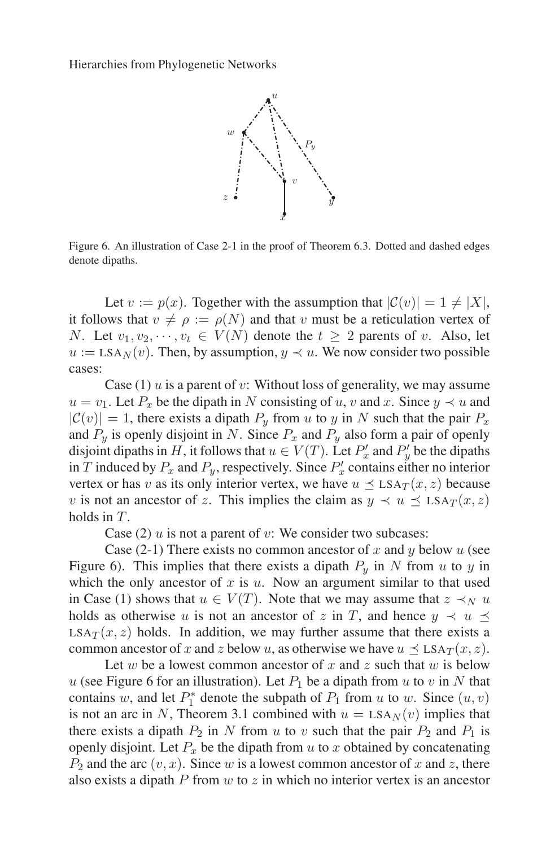

Figure 6. An illustration of Case 2-1 in the proof of Theorem 6.3. Dotted and dashed edges denote dipaths.

Let  $v := p(x)$ . Together with the assumption that  $|\mathcal{C}(v)| = 1 \neq |X|$ , it follows that  $v \neq \rho := \rho(N)$  and that v must be a reticulation vertex of N. Let  $v_1, v_2, \dots, v_t \in V(N)$  denote the  $t \geq 2$  parents of v. Also, let  $u := \text{LSA}_{N}(v)$ . Then, by assumption,  $y \prec u$ . We now consider two possible cases:

Case  $(1)$  u is a parent of v: Without loss of generality, we may assume  $u = v_1$ . Let  $P_x$  be the dipath in N consisting of u, v and x. Since  $y \prec u$  and  $|\mathcal{C}(v)| = 1$ , there exists a dipath  $P_y$  from u to y in N such that the pair  $P_x$ and  $P_y$  is openly disjoint in N. Since  $P_x$  and  $P_y$  also form a pair of openly disjoint dipaths in H, it follows that  $u \in V(T)$ . Let  $P'_x$  and  $P'_y$  be the dipaths in T induced by  $P_x$  and  $P_y$ , respectively. Since  $P'_x$  contains either no interior vertex or has v as its only interior vertex, we have  $u \leq LSA_T(x, z)$  because v is not an ancestor of z. This implies the claim as  $y \prec u \preceq LSA_T(x, z)$ holds in T.

Case (2)  $u$  is not a parent of  $v$ : We consider two subcases:

Case (2-1) There exists no common ancestor of x and y below u (see Figure 6). This implies that there exists a dipath  $P_y$  in N from u to y in which the only ancestor of x is u. Now an argument similar to that used in Case (1) shows that  $u \in V(T)$ . Note that we may assume that  $z \prec_N u$ holds as otherwise u is not an ancestor of z in T, and hence  $y \prec u$  $LSA_T(x, z)$  holds. In addition, we may further assume that there exists a common ancestor of x and z below u, as otherwise we have  $u \leq LSA_T(x, z)$ .

Let w be a lowest common ancestor of x and z such that  $w$  is below u (see Figure 6 for an illustration). Let  $P_1$  be a dipath from u to v in N that contains w, and let  $P_1^*$  denote the subpath of  $P_1$  from u to w. Since  $(u, v)$ is not an arc in N, Theorem 3.1 combined with  $u = \text{LSA}_N(v)$  implies that there exists a dipath  $P_2$  in N from u to v such that the pair  $P_2$  and  $P_1$  is openly disjoint. Let  $P_x$  be the dipath from u to x obtained by concatenating  $P_2$  and the arc  $(v, x)$ . Since w is a lowest common ancestor of x and z, there also exists a dipath  $P$  from  $w$  to  $z$  in which no interior vertex is an ancestor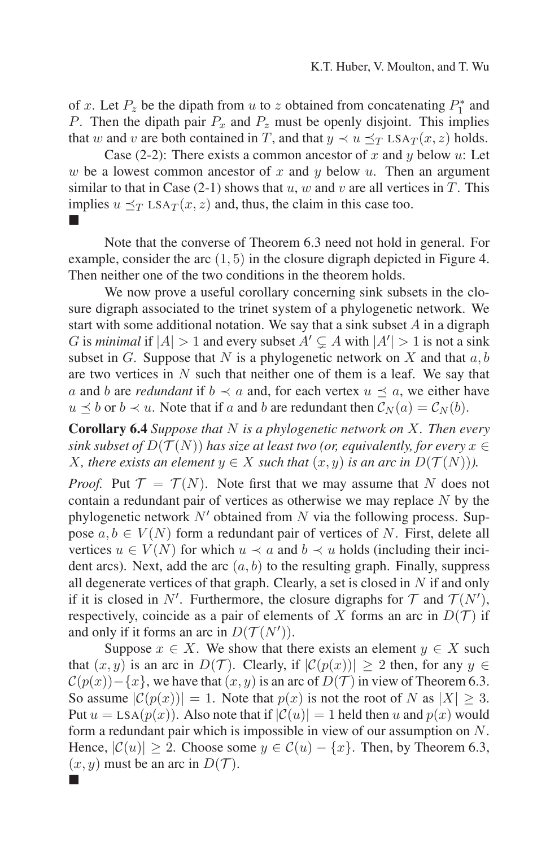of x. Let  $P_z$  be the dipath from u to z obtained from concatenating  $P_1^*$  and P. Then the dipath pair  $P_x$  and  $P_z$  must be openly disjoint. This implies that w and v are both contained in T, and that  $y \prec u \prec_T LSA_T(x, z)$  holds.

Case (2-2): There exists a common ancestor of x and y below u: Let w be a lowest common ancestor of x and y below y. Then an argument similar to that in Case (2-1) shows that  $u, w$  and  $v$  are all vertices in  $T$ . This implies  $u \preceq_T \text{LSA}_T(x, z)$  and, thus, the claim in this case too. -

Note that the converse of Theorem 6.3 need not hold in general. For example, consider the arc (1, 5) in the closure digraph depicted in Figure 4. Then neither one of the two conditions in the theorem holds.

We now prove a useful corollary concerning sink subsets in the closure digraph associated to the trinet system of a phylogenetic network. We start with some additional notation. We say that a sink subset  $A$  in a digraph G is *minimal* if  $|A| > 1$  and every subset  $A' \subsetneq A$  with  $|A'| > 1$  is not a sink subset in G. Suppose that N is a phylogenetic network on X and that  $a, b$ are two vertices in  $N$  such that neither one of them is a leaf. We say that a and b are *redundant* if  $b \prec a$  and, for each vertex  $u \prec a$ , we either have  $u \preceq b$  or  $b \prec u$ . Note that if a and b are redundant then  $\mathcal{C}_N(a) = \mathcal{C}_N(b)$ .

**Corollary 6.4** *Suppose that* N *is a phylogenetic network on* X*. Then every sink subset of*  $D(\mathcal{T}(N))$  *has size at least two (or, equivalently, for every*  $x \in$ *X*, there exists an element  $y \in X$  such that  $(x, y)$  is an arc in  $D(\mathcal{T}(N))$ .

*Proof.* Put  $\mathcal{T} = \mathcal{T}(N)$ . Note first that we may assume that N does not contain a redundant pair of vertices as otherwise we may replace  $N$  by the phylogenetic network  $N'$  obtained from N via the following process. Suppose  $a, b \in V(N)$  form a redundant pair of vertices of N. First, delete all vertices  $u \in V(N)$  for which  $u \prec a$  and  $b \prec u$  holds (including their incident arcs). Next, add the arc  $(a, b)$  to the resulting graph. Finally, suppress all degenerate vertices of that graph. Clearly, a set is closed in  $N$  if and only if it is closed in N'. Furthermore, the closure digraphs for  $T$  and  $T(N')$ , respectively, coincide as a pair of elements of X forms an arc in  $D(\mathcal{T})$  if and only if it forms an arc in  $D(\mathcal{T}(N'))$ .

Suppose  $x \in X$ . We show that there exists an element  $y \in X$  such that  $(x, y)$  is an arc in  $D(\mathcal{T})$ . Clearly, if  $|\mathcal{C}(p(x))| \geq 2$  then, for any  $y \in$  $C(p(x))-\{x\}$ , we have that  $(x, y)$  is an arc of  $D(\mathcal{T})$  in view of Theorem 6.3. So assume  $|\mathcal{C}(p(x))| = 1$ . Note that  $p(x)$  is not the root of N as  $|X| \geq 3$ . Put  $u = \text{LSA}(p(x))$ . Also note that if  $|\mathcal{C}(u)| = 1$  held then u and  $p(x)$  would form a redundant pair which is impossible in view of our assumption on N. Hence,  $|\mathcal{C}(u)| \geq 2$ . Choose some  $y \in \mathcal{C}(u) - \{x\}$ . Then, by Theorem 6.3,  $(x, y)$  must be an arc in  $D(\mathcal{T})$ .

-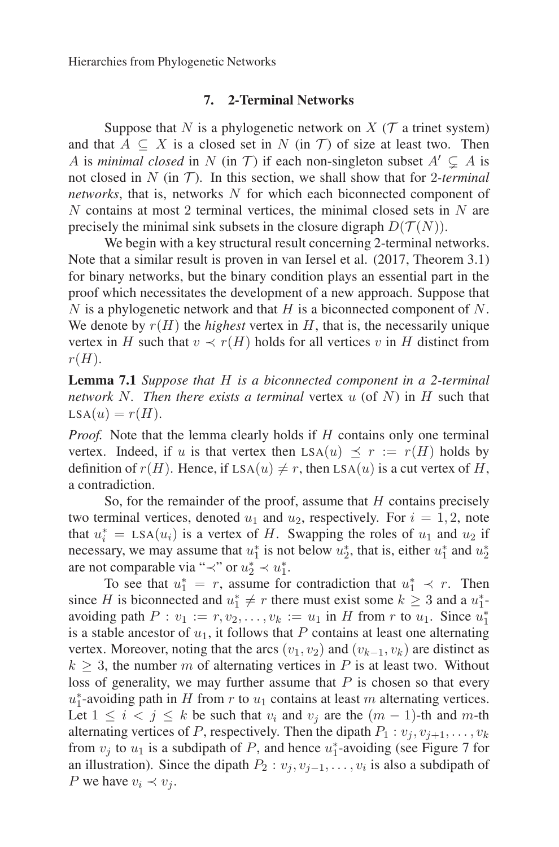# **7. 2-Terminal Networks**

Suppose that N is a phylogenetic network on X ( $\mathcal T$  a trinet system) and that  $A \subseteq X$  is a closed set in N (in T) of size at least two. Then A is *minimal closed* in N (in T) if each non-singleton subset  $A' \subsetneq A$  is not closed in  $N$  (in  $T$ ). In this section, we shall show that for 2-terminal *networks*, that is, networks N for which each biconnected component of  $N$  contains at most 2 terminal vertices, the minimal closed sets in  $N$  are precisely the minimal sink subsets in the closure digraph  $D(\mathcal{T}(N))$ .

We begin with a key structural result concerning 2-terminal networks. Note that a similar result is proven in van Iersel et al. (2017, Theorem 3.1) for binary networks, but the binary condition plays an essential part in the proof which necessitates the development of a new approach. Suppose that  $N$  is a phylogenetic network and that  $H$  is a biconnected component of  $N$ . We denote by  $r(H)$  the *highest* vertex in H, that is, the necessarily unique vertex in H such that  $v \prec r(H)$  holds for all vertices v in H distinct from  $r(H).$ 

**Lemma 7.1** *Suppose that* H *is a biconnected component in a 2-terminal network* N*. Then there exists a terminal* vertex u (of N) in H such that  $LSA(u) = r(H).$ 

*Proof.* Note that the lemma clearly holds if H contains only one terminal vertex. Indeed, if u is that vertex then  $LSA(u) \prec r := r(H)$  holds by definition of  $r(H)$ . Hence, if  $LSA(u) \neq r$ , then  $LSA(u)$  is a cut vertex of H, a contradiction.

So, for the remainder of the proof, assume that  $H$  contains precisely two terminal vertices, denoted  $u_1$  and  $u_2$ , respectively. For  $i = 1, 2$ , note that  $u_i^* = \text{LSA}(u_i)$  is a vertex of H. Swapping the roles of  $u_1$  and  $u_2$  if necessary, we may assume that  $u_1^*$  is not below  $u_2^*$ , that is, either  $u_1^*$  and  $u_2^*$ are not comparable via " $\prec$ " or  $u_2^* \prec u_1^*$ .

To see that  $u_1^* = r$ , assume for contradiction that  $u_1^* \prec r$ . Then since H is biconnected and  $u_1^* \neq r$  there must exist some  $k \geq 3$  and a  $u_1^*$ avoiding path  $P: v_1 := r, v_2, \ldots, v_k := u_1$  in H from r to  $u_1$ . Since  $u_1^*$ is a stable ancestor of  $u_1$ , it follows that P contains at least one alternating vertex. Moreover, noting that the arcs  $(v_1, v_2)$  and  $(v_{k-1}, v_k)$  are distinct as  $k \geq 3$ , the number m of alternating vertices in P is at least two. Without loss of generality, we may further assume that  $P$  is chosen so that every  $u_1^*$ -avoiding path in H from r to  $u_1$  contains at least m alternating vertices. Let  $1 \leq i < j \leq k$  be such that  $v_i$  and  $v_j$  are the  $(m - 1)$ -th and m-th alternating vertices of P, respectively. Then the dipath  $P_1 : v_i, v_{i+1}, \ldots, v_k$ from  $v_j$  to  $u_1$  is a subdipath of P, and hence  $u_1^*$ -avoiding (see Figure 7 for an illustration). Since the dipath  $P_2 : v_j, v_{j-1}, \ldots, v_i$  is also a subdipath of P we have  $v_i \prec v_j$ .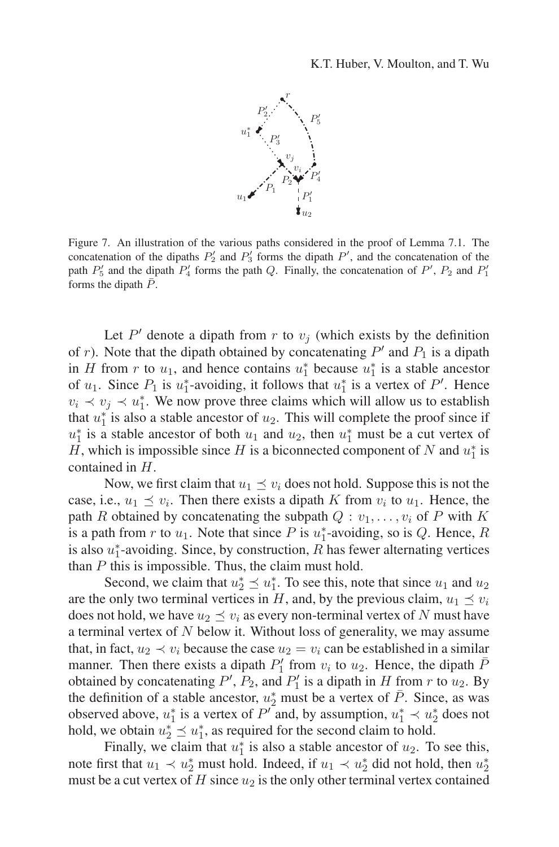

Figure 7. An illustration of the various paths considered in the proof of Lemma 7.1. The concatenation of the dipaths  $P'_2$  and  $P'_3$  forms the dipath  $P'$ , and the concatenation of the path  $P'_5$  and the dipath  $P'_4$  forms the path Q. Finally, the concatenation of P',  $P_2$  and  $P'_1$ forms the dipath  $\bar{P}$ .

Let  $P'$  denote a dipath from r to  $v_j$  (which exists by the definition of r). Note that the dipath obtained by concatenating  $P'$  and  $P_1$  is a dipath in H from r to  $u_1$ , and hence contains  $u_1^*$  because  $u_1^*$  is a stable ancestor of  $u_1$ . Since  $P_1$  is  $u_1^*$ -avoiding, it follows that  $u_1^*$  is a vertex of  $P'$ . Hence  $v_i \prec v_j \prec u_1^*$ . We now prove three claims which will allow us to establish that  $u_1^*$  is also a stable ancestor of  $u_2$ . This will complete the proof since if  $u_1^*$  is a stable ancestor of both  $u_1$  and  $u_2$ , then  $u_1^*$  must be a cut vertex of H, which is impossible since H is a biconnected component of N and  $u_1^*$  is contained in H.

Now, we first claim that  $u_1 \preceq v_i$  does not hold. Suppose this is not the case, i.e.,  $u_1 \preceq v_i$ . Then there exists a dipath K from  $v_i$  to  $u_1$ . Hence, the path R obtained by concatenating the subpath  $Q: v_1, \ldots, v_i$  of P with K is a path from r to  $u_1$ . Note that since P is  $u_1^*$ -avoiding, so is Q. Hence, R is also  $u_1^*$ -avoiding. Since, by construction, R has fewer alternating vertices than  $P$  this is impossible. Thus, the claim must hold.

Second, we claim that  $u_2^* \preceq u_1^*$ . To see this, note that since  $u_1$  and  $u_2$ are the only two terminal vertices in H, and, by the previous claim,  $u_1 \preceq v_i$ does not hold, we have  $u_2 \preceq v_i$  as every non-terminal vertex of N must have a terminal vertex of  $N$  below it. Without loss of generality, we may assume that, in fact,  $u_2 \prec v_i$  because the case  $u_2 = v_i$  can be established in a similar manner. Then there exists a dipath  $P'_1$  from  $v_i$  to  $u_2$ . Hence, the dipath  $\bar{P}_1$ obtained by concatenating  $P'$ ,  $P_2$ , and  $P'_1$  is a dipath in H from r to  $u_2$ . By the definition of a stable ancestor,  $u_2^*$  must be a vertex of  $\bar{P}$ . Since, as was observed above,  $u_1^*$  is a vertex of  $P'$  and, by assumption,  $u_1^* \prec u_2^*$  does not hold, we obtain  $u_2^* \leq u_1^*$ , as required for the second claim to hold.

Finally, we claim that  $u_1^*$  is also a stable ancestor of  $u_2$ . To see this, note first that  $u_1 \prec u_2^*$  must hold. Indeed, if  $u_1 \prec u_2^*$  did not hold, then  $u_2^*$ must be a cut vertex of  $H$  since  $u_2$  is the only other terminal vertex contained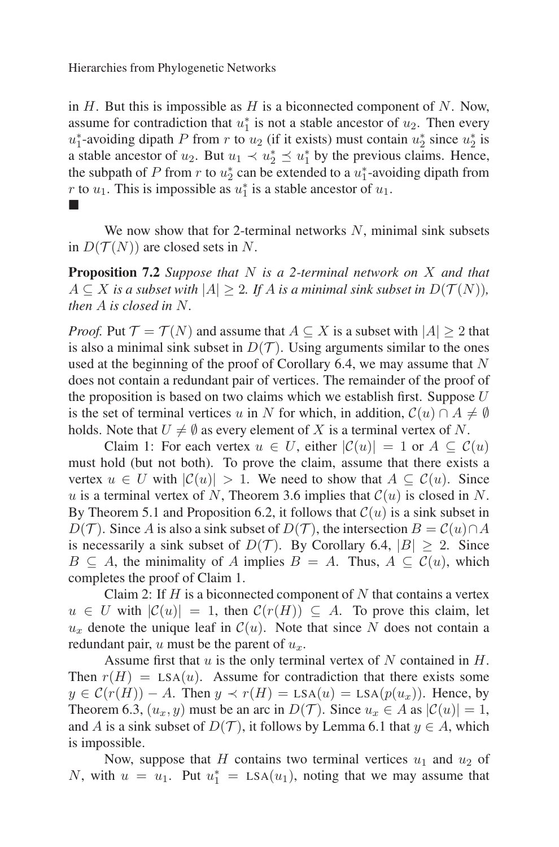in  $H$ . But this is impossible as  $H$  is a biconnected component of  $N$ . Now, assume for contradiction that  $u_1^*$  is not a stable ancestor of  $u_2$ . Then every  $u_1^*$ -avoiding dipath P from r to  $u_2$  (if it exists) must contain  $u_2^*$  since  $u_2^*$  is a stable ancestor of  $u_2$ . But  $u_1 \prec u_2^* \preceq u_1^*$  by the previous claims. Hence, the subpath of P from r to  $u_2^*$  can be extended to a  $u_1^*$ -avoiding dipath from *r* to  $u_1$ . This is impossible as  $u_1^*$  is a stable ancestor of  $u_1$ . -

We now show that for 2-terminal networks  $N$ , minimal sink subsets in  $D(T(N))$  are closed sets in N.

**Proposition 7.2** *Suppose that* N *is a 2-terminal network on* X *and that*  $A \subseteq X$  *is a subset with*  $|A| \geq 2$ *. If A is a minimal sink subset in*  $D(\mathcal{T}(N))$ *, then* A *is closed in* N*.*

*Proof.* Put  $\mathcal{T} = \mathcal{T}(N)$  and assume that  $A \subseteq X$  is a subset with  $|A| \geq 2$  that is also a minimal sink subset in  $D(\mathcal{T})$ . Using arguments similar to the ones used at the beginning of the proof of Corollary 6.4, we may assume that  $N$ does not contain a redundant pair of vertices. The remainder of the proof of the proposition is based on two claims which we establish first. Suppose  $U$ is the set of terminal vertices u in N for which, in addition,  $C(u) \cap A \neq \emptyset$ holds. Note that  $U \neq \emptyset$  as every element of X is a terminal vertex of N.

Claim 1: For each vertex  $u \in U$ , either  $|\mathcal{C}(u)| = 1$  or  $A \subseteq \mathcal{C}(u)$ must hold (but not both). To prove the claim, assume that there exists a vertex  $u \in U$  with  $|\mathcal{C}(u)| > 1$ . We need to show that  $A \subseteq \mathcal{C}(u)$ . Since u is a terminal vertex of N, Theorem 3.6 implies that  $\mathcal{C}(u)$  is closed in N. By Theorem 5.1 and Proposition 6.2, it follows that  $\mathcal{C}(u)$  is a sink subset in  $D(\mathcal{T})$ . Since A is also a sink subset of  $D(\mathcal{T})$ , the intersection  $B = C(u) \cap A$ is necessarily a sink subset of  $D(\mathcal{T})$ . By Corollary 6.4,  $|B| \geq 2$ . Since  $B \subseteq A$ , the minimality of A implies  $B = A$ . Thus,  $A \subseteq C(u)$ , which completes the proof of Claim 1.

Claim 2: If  $H$  is a biconnected component of  $N$  that contains a vertex  $u \in U$  with  $|\mathcal{C}(u)| = 1$ , then  $\mathcal{C}(r(H)) \subseteq A$ . To prove this claim, let  $u_x$  denote the unique leaf in  $\mathcal{C}(u)$ . Note that since N does not contain a redundant pair,  $u$  must be the parent of  $u_x$ .

Assume first that  $u$  is the only terminal vertex of  $N$  contained in  $H$ . Then  $r(H) = \text{LSA}(u)$ . Assume for contradiction that there exists some  $y \in \mathcal{C}(r(H)) - A$ . Then  $y \prec r(H) = \text{LSA}(u) = \text{LSA}(p(u_x))$ . Hence, by Theorem 6.3,  $(u_x, y)$  must be an arc in  $D(\mathcal{T})$ . Since  $u_x \in A$  as  $|\mathcal{C}(u)| = 1$ , and A is a sink subset of  $D(\mathcal{T})$ , it follows by Lemma 6.1 that  $y \in A$ , which is impossible.

Now, suppose that H contains two terminal vertices  $u_1$  and  $u_2$  of N, with  $u = u_1$ . Put  $u_1^* = \text{LSA}(u_1)$ , noting that we may assume that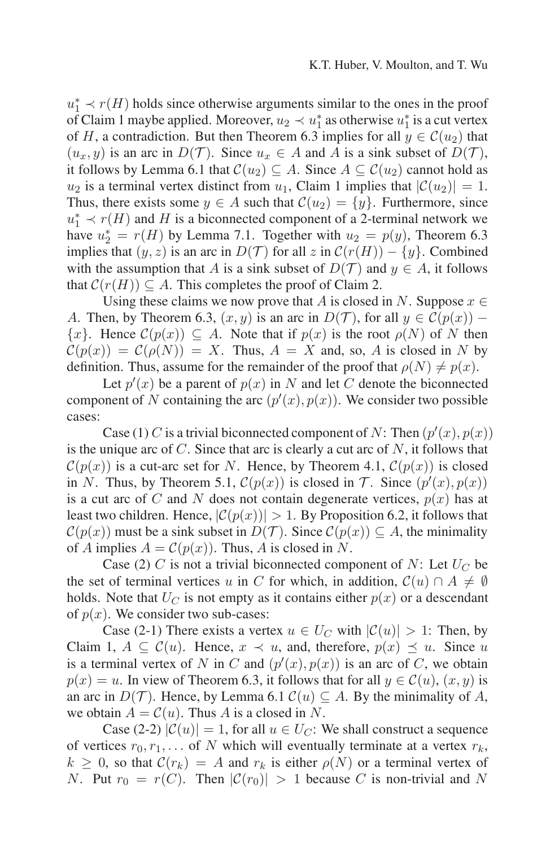$u_1^* \prec r(H)$  holds since otherwise arguments similar to the ones in the proof of Claim 1 maybe applied. Moreover,  $u_2 \prec u_1^*$  as otherwise  $u_1^*$  is a cut vertex of H, a contradiction. But then Theorem 6.3 implies for all  $y \in \mathcal{C}(u_2)$  that  $(u_x, y)$  is an arc in  $D(\mathcal{T})$ . Since  $u_x \in A$  and A is a sink subset of  $D(\mathcal{T})$ , it follows by Lemma 6.1 that  $C(u_2) \subseteq A$ . Since  $A \subseteq C(u_2)$  cannot hold as  $u_2$  is a terminal vertex distinct from  $u_1$ , Claim 1 implies that  $|\mathcal{C}(u_2)| = 1$ . Thus, there exists some  $y \in A$  such that  $\mathcal{C}(u_2) = \{y\}$ . Furthermore, since  $u_1^* \prec r(H)$  and H is a biconnected component of a 2-terminal network we have  $u_2^* = r(H)$  by Lemma 7.1. Together with  $u_2 = p(y)$ , Theorem 6.3 implies that  $(y, z)$  is an arc in  $D(\mathcal{T})$  for all z in  $\mathcal{C}(r(H)) - \{y\}$ . Combined with the assumption that A is a sink subset of  $D(\mathcal{T})$  and  $y \in A$ , it follows that  $\mathcal{C}(r(H)) \subset A$ . This completes the proof of Claim 2.

Using these claims we now prove that A is closed in N. Suppose  $x \in$ A. Then, by Theorem 6.3,  $(x, y)$  is an arc in  $D(\mathcal{T})$ , for all  $y \in \mathcal{C}(p(x))$  –  $\{x\}$ . Hence  $\mathcal{C}(p(x)) \subseteq A$ . Note that if  $p(x)$  is the root  $\rho(N)$  of N then  $\mathcal{C}(p(x)) = \mathcal{C}(\rho(N)) = X$ . Thus,  $A = X$  and, so, A is closed in N by definition. Thus, assume for the remainder of the proof that  $\rho(N) \neq p(x)$ .

Let  $p'(x)$  be a parent of  $p(x)$  in N and let C denote the biconnected component of N containing the arc  $(p'(x), p(x))$ . We consider two possible cases:

Case (1) C is a trivial biconnected component of N: Then  $(p'(x), p(x))$ is the unique arc of  $C$ . Since that arc is clearly a cut arc of  $N$ , it follows that  $\mathcal{C}(p(x))$  is a cut-arc set for N. Hence, by Theorem 4.1,  $\mathcal{C}(p(x))$  is closed in N. Thus, by Theorem 5.1,  $C(p(x))$  is closed in T. Since  $(p'(x), p(x))$ is a cut arc of C and N does not contain degenerate vertices,  $p(x)$  has at least two children. Hence,  $|C(p(x))| > 1$ . By Proposition 6.2, it follows that  $\mathcal{C}(p(x))$  must be a sink subset in  $D(\mathcal{T})$ . Since  $\mathcal{C}(p(x)) \subseteq A$ , the minimality of A implies  $A = \mathcal{C}(p(x))$ . Thus, A is closed in N.

Case (2) C is not a trivial biconnected component of N: Let  $U_C$  be the set of terminal vertices u in C for which, in addition,  $\mathcal{C}(u) \cap A \neq \emptyset$ holds. Note that  $U_C$  is not empty as it contains either  $p(x)$  or a descendant of  $p(x)$ . We consider two sub-cases:

Case (2-1) There exists a vertex  $u \in U_C$  with  $|\mathcal{C}(u)| > 1$ : Then, by Claim 1,  $A \subseteq \mathcal{C}(u)$ . Hence,  $x \prec u$ , and, therefore,  $p(x) \preceq u$ . Since u is a terminal vertex of N in C and  $(p'(x), p(x))$  is an arc of C, we obtain  $p(x) = u$ . In view of Theorem 6.3, it follows that for all  $y \in \mathcal{C}(u)$ ,  $(x, y)$  is an arc in  $D(\mathcal{T})$ . Hence, by Lemma 6.1  $\mathcal{C}(u) \subset A$ . By the minimality of A, we obtain  $A = \mathcal{C}(u)$ . Thus A is a closed in N.

Case (2-2)  $|\mathcal{C}(u)| = 1$ , for all  $u \in U_C$ : We shall construct a sequence of vertices  $r_0, r_1, \ldots$  of N which will eventually terminate at a vertex  $r_k$ ,  $k \geq 0$ , so that  $C(r_k) = A$  and  $r_k$  is either  $\rho(N)$  or a terminal vertex of N. Put  $r_0 = r(C)$ . Then  $|\mathcal{C}(r_0)| > 1$  because C is non-trivial and N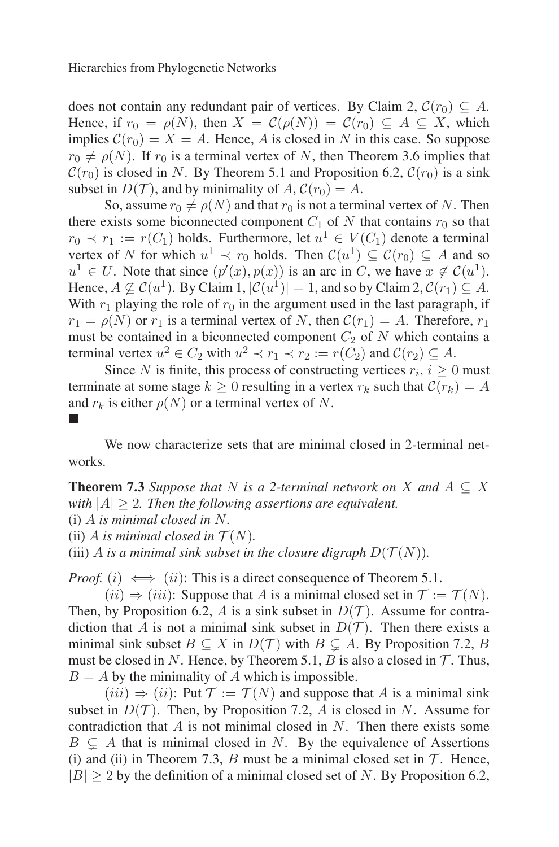does not contain any redundant pair of vertices. By Claim 2,  $\mathcal{C}(r_0) \subset A$ . Hence, if  $r_0 = \rho(N)$ , then  $X = \mathcal{C}(\rho(N)) = \mathcal{C}(r_0) \subseteq A \subseteq X$ , which implies  $C(r_0) = X = A$ . Hence, A is closed in N in this case. So suppose  $r_0 \neq \rho(N)$ . If  $r_0$  is a terminal vertex of N, then Theorem 3.6 implies that  $\mathcal{C}(r_0)$  is closed in N. By Theorem 5.1 and Proposition 6.2,  $\mathcal{C}(r_0)$  is a sink subset in  $D(\mathcal{T})$ , and by minimality of  $A, \mathcal{C}(r_0) = A$ .

So, assume  $r_0 \neq \rho(N)$  and that  $r_0$  is not a terminal vertex of N. Then there exists some biconnected component  $C_1$  of N that contains  $r_0$  so that  $r_0 \prec r_1 := r(C_1)$  holds. Furthermore, let  $u^1 \in V(C_1)$  denote a terminal vertex of N for which  $u^1 \prec r_0$  holds. Then  $\mathcal{C}(u^1) \subseteq \mathcal{C}(r_0) \subseteq A$  and so  $u^1 \in U$ . Note that since  $(p'(x), p(x))$  is an arc in C, we have  $x \notin C(u^1)$ . Hence,  $A \not\subset \mathcal{C}(u^1)$ . By Claim 1,  $|\mathcal{C}(u^1)| = 1$ , and so by Claim 2,  $\mathcal{C}(r_1) \subset A$ . With  $r_1$  playing the role of  $r_0$  in the argument used in the last paragraph, if  $r_1 = \rho(N)$  or  $r_1$  is a terminal vertex of N, then  $\mathcal{C}(r_1) = A$ . Therefore,  $r_1$ must be contained in a biconnected component  $C_2$  of N which contains a terminal vertex  $u^2 \in C_2$  with  $u^2 \prec r_1 \prec r_2 := r(C_2)$  and  $\mathcal{C}(r_2) \subset A$ .

Since N is finite, this process of constructing vertices  $r_i$ ,  $i \geq 0$  must terminate at some stage  $k \geq 0$  resulting in a vertex  $r_k$  such that  $\mathcal{C}(r_k) = A$ and  $r_k$  is either  $\rho(N)$  or a terminal vertex of N.

We now characterize sets that are minimal closed in 2-terminal networks.

**Theorem 7.3** *Suppose that* N *is a 2-terminal network on* X *and*  $A \subseteq X$ *with* |A| ≥ 2*. Then the following assertions are equivalent.*

(i) A *is minimal closed in* N*.*

-

(ii) A *is minimal closed in*  $\mathcal{T}(N)$ .

(iii) A *is a minimal sink subset in the closure digraph*  $D(\mathcal{T}(N))$ *.* 

*Proof.* (i)  $\iff$  (ii): This is a direct consequence of Theorem 5.1.

 $(ii) \Rightarrow (iii)$ : Suppose that A is a minimal closed set in  $\mathcal{T} := \mathcal{T}(N)$ . Then, by Proposition 6.2, A is a sink subset in  $D(\mathcal{T})$ . Assume for contradiction that A is not a minimal sink subset in  $D(\mathcal{T})$ . Then there exists a minimal sink subset  $B \subseteq X$  in  $D(\mathcal{T})$  with  $B \subsetneq A$ . By Proposition 7.2, B must be closed in N. Hence, by Theorem 5.1,  $B$  is also a closed in  $\mathcal T$ . Thus,  $B = A$  by the minimality of A which is impossible.

 $(iii) \Rightarrow (ii)$ : Put  $\mathcal{T} := \mathcal{T}(N)$  and suppose that A is a minimal sink subset in  $D(\mathcal{T})$ . Then, by Proposition 7.2, A is closed in N. Assume for contradiction that  $A$  is not minimal closed in  $N$ . Then there exists some  $B \subsetneq A$  that is minimal closed in N. By the equivalence of Assertions (i) and (ii) in Theorem 7.3, B must be a minimal closed set in  $\mathcal{T}$ . Hence,  $|B| > 2$  by the definition of a minimal closed set of N. By Proposition 6.2,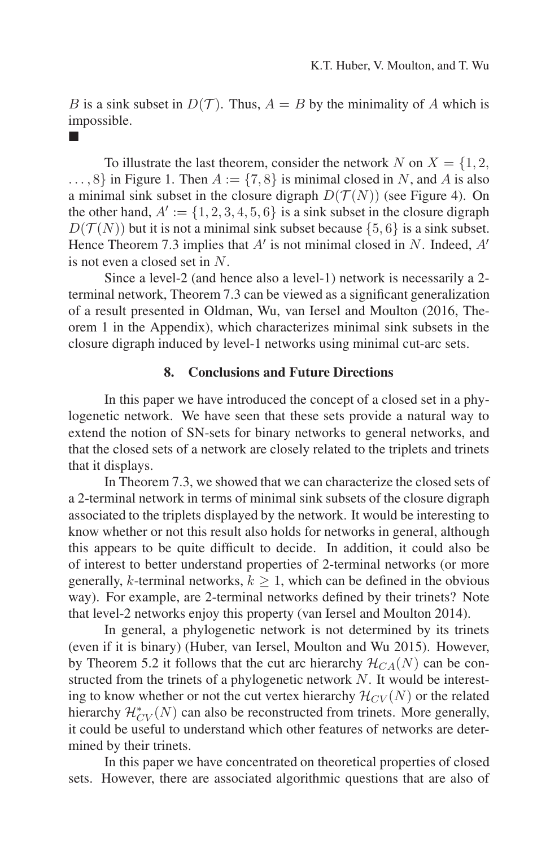B is a sink subset in  $D(\mathcal{T})$ . Thus,  $A = B$  by the minimality of A which is impossible.

-

To illustrate the last theorem, consider the network N on  $X = \{1, 2, \ldots\}$  $\ldots$ , 8} in Figure 1. Then  $A := \{7, 8\}$  is minimal closed in N, and A is also a minimal sink subset in the closure digraph  $D(T(N))$  (see Figure 4). On the other hand,  $A' := \{1, 2, 3, 4, 5, 6\}$  is a sink subset in the closure digraph  $D(\mathcal{T}(N))$  but it is not a minimal sink subset because  $\{5,6\}$  is a sink subset. Hence Theorem 7.3 implies that  $A'$  is not minimal closed in N. Indeed,  $A'$ is not even a closed set in N.

Since a level-2 (and hence also a level-1) network is necessarily a 2 terminal network, Theorem 7.3 can be viewed as a significant generalization of a result presented in Oldman, Wu, van Iersel and Moulton (2016, Theorem 1 in the Appendix), which characterizes minimal sink subsets in the closure digraph induced by level-1 networks using minimal cut-arc sets.

# **8. Conclusions and Future Directions**

In this paper we have introduced the concept of a closed set in a phylogenetic network. We have seen that these sets provide a natural way to extend the notion of SN-sets for binary networks to general networks, and that the closed sets of a network are closely related to the triplets and trinets that it displays.

In Theorem 7.3, we showed that we can characterize the closed sets of a 2-terminal network in terms of minimal sink subsets of the closure digraph associated to the triplets displayed by the network. It would be interesting to know whether or not this result also holds for networks in general, although this appears to be quite difficult to decide. In addition, it could also be of interest to better understand properties of 2-terminal networks (or more generally, k-terminal networks,  $k \geq 1$ , which can be defined in the obvious way). For example, are 2-terminal networks defined by their trinets? Note that level-2 networks enjoy this property (van Iersel and Moulton 2014).

In general, a phylogenetic network is not determined by its trinets (even if it is binary) (Huber, van Iersel, Moulton and Wu 2015). However, by Theorem 5.2 it follows that the cut arc hierarchy  $\mathcal{H}_{CA}(N)$  can be constructed from the trinets of a phylogenetic network  $N$ . It would be interesting to know whether or not the cut vertex hierarchy  $\mathcal{H}_{CV}(N)$  or the related hierarchy  $\mathcal{H}_{CV}^{*}(N)$  can also be reconstructed from trinets. More generally, it could be useful to understand which other features of networks are determined by their trinets.

In this paper we have concentrated on theoretical properties of closed sets. However, there are associated algorithmic questions that are also of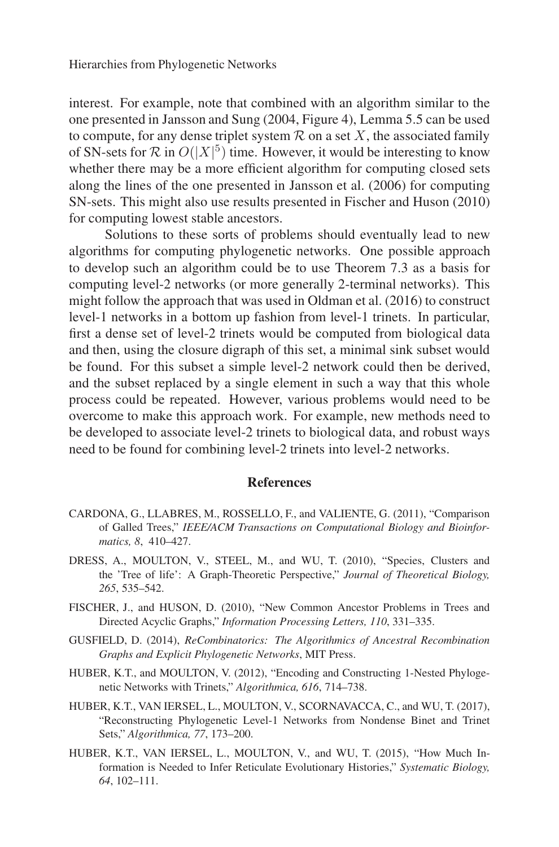interest. For example, note that combined with an algorithm similar to the one presented in Jansson and Sung (2004, Figure 4), Lemma 5.5 can be used to compute, for any dense triplet system  $R$  on a set X, the associated family of SN-sets for  $\mathcal R$  in  $O(|X|^5)$  time. However, it would be interesting to know whether there may be a more efficient algorithm for computing closed sets along the lines of the one presented in Jansson et al. (2006) for computing SN-sets. This might also use results presented in Fischer and Huson (2010) for computing lowest stable ancestors.

Solutions to these sorts of problems should eventually lead to new algorithms for computing phylogenetic networks. One possible approach to develop such an algorithm could be to use Theorem 7.3 as a basis for computing level-2 networks (or more generally 2-terminal networks). This might follow the approach that was used in Oldman et al. (2016) to construct level-1 networks in a bottom up fashion from level-1 trinets. In particular, first a dense set of level-2 trinets would be computed from biological data and then, using the closure digraph of this set, a minimal sink subset would be found. For this subset a simple level-2 network could then be derived, and the subset replaced by a single element in such a way that this whole process could be repeated. However, various problems would need to be overcome to make this approach work. For example, new methods need to be developed to associate level-2 trinets to biological data, and robust ways need to be found for combining level-2 trinets into level-2 networks.

#### **References**

- CARDONA, G., LLABRES, M., ROSSELLO, F., and VALIENTE, G. (2011), "Comparison of Galled Trees," *IEEE/ACM Transactions on Computational Biology and Bioinformatics, 8*, 410–427.
- DRESS, A., MOULTON, V., STEEL, M., and WU, T. (2010), "Species, Clusters and the 'Tree of life': A Graph-Theoretic Perspective," *Journal of Theoretical Biology, 265*, 535–542.
- FISCHER, J., and HUSON, D. (2010), "New Common Ancestor Problems in Trees and Directed Acyclic Graphs," *Information Processing Letters, 110*, 331–335.
- GUSFIELD, D. (2014), *ReCombinatorics: The Algorithmics of Ancestral Recombination Graphs and Explicit Phylogenetic Networks*, MIT Press.
- HUBER, K.T., and MOULTON, V. (2012), "Encoding and Constructing 1-Nested Phylogenetic Networks with Trinets," *Algorithmica, 616*, 714–738.
- HUBER, K.T., VAN IERSEL, L., MOULTON, V., SCORNAVACCA, C., and WU, T. (2017), "Reconstructing Phylogenetic Level-1 Networks from Nondense Binet and Trinet Sets," *Algorithmica, 77*, 173–200.
- HUBER, K.T., VAN IERSEL, L., MOULTON, V., and WU, T. (2015), "How Much Information is Needed to Infer Reticulate Evolutionary Histories," *Systematic Biology, 64*, 102–111.